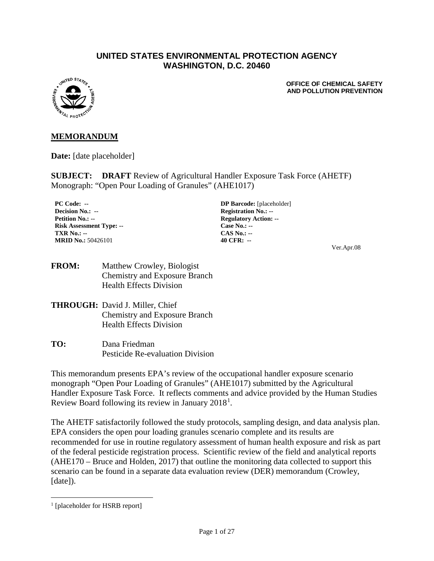#### **UNITED STATES ENVIRONMENTAL PROTECTION AGENCY WASHINGTON, D.C. 20460**



**OFFICE OF CHEMICAL SAFETY AND POLLUTION PREVENTION**

#### **MEMORANDUM**

**Date:** [date placeholder]

**SUBJECT: DRAFT** Review of Agricultural Handler Exposure Task Force (AHETF) Monograph: "Open Pour Loading of Granules" (AHE1017)

**Decision No.: -- Registration No.: --Petition No.: -- Regulatory Action: -- Risk Assessment Type: -- Case No.: -- TXR No.: -- CAS No.: -- MRID No.:** 50426101 **40 CFR:** --

**PC Code: -- DP Barcode:** [placeholder] Ver.Apr.08

- **FROM:** Matthew Crowley, Biologist Chemistry and Exposure Branch Health Effects Division
- **THROUGH:** David J. Miller, Chief Chemistry and Exposure Branch Health Effects Division
- **TO:** Dana Friedman Pesticide Re-evaluation Division

This memorandum presents EPA's review of the occupational handler exposure scenario monograph "Open Pour Loading of Granules" (AHE1017) submitted by the Agricultural Handler Exposure Task Force. It reflects comments and advice provided by the Human Studies Review Board following its review in January 20[1](#page-0-0)8<sup>1</sup>.

The AHETF satisfactorily followed the study protocols, sampling design, and data analysis plan. EPA considers the open pour loading granules scenario complete and its results are recommended for use in routine regulatory assessment of human health exposure and risk as part of the federal pesticide registration process. Scientific review of the field and analytical reports (AHE170 – Bruce and Holden, 2017) that outline the monitoring data collected to support this scenario can be found in a separate data evaluation review (DER) memorandum (Crowley, [date]).

<span id="page-0-0"></span><sup>&</sup>lt;sup>1</sup> [placeholder for HSRB report]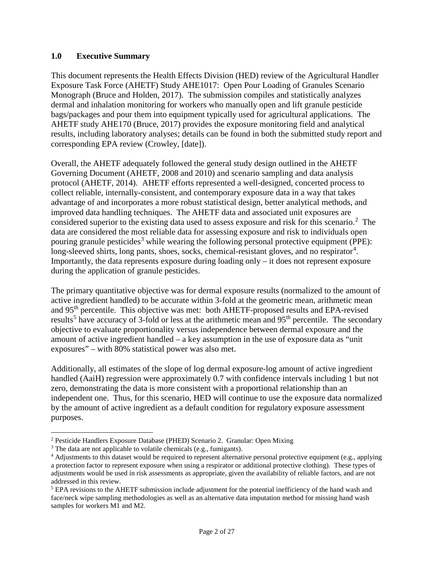#### **1.0 Executive Summary**

This document represents the Health Effects Division (HED) review of the Agricultural Handler Exposure Task Force (AHETF) Study AHE1017: Open Pour Loading of Granules Scenario Monograph (Bruce and Holden, 2017). The submission compiles and statistically analyzes dermal and inhalation monitoring for workers who manually open and lift granule pesticide bags/packages and pour them into equipment typically used for agricultural applications. The AHETF study AHE170 (Bruce, 2017) provides the exposure monitoring field and analytical results, including laboratory analyses; details can be found in both the submitted study report and corresponding EPA review (Crowley, [date]).

Overall, the AHETF adequately followed the general study design outlined in the AHETF Governing Document (AHETF, 2008 and 2010) and scenario sampling and data analysis protocol (AHETF, 2014). AHETF efforts represented a well-designed, concerted process to collect reliable, internally-consistent, and contemporary exposure data in a way that takes advantage of and incorporates a more robust statistical design, better analytical methods, and improved data handling techniques. The AHETF data and associated unit exposures are considered superior to the existing data used to assess exposure and risk for this scenario.<sup>[2](#page-1-0)</sup> The data are considered the most reliable data for assessing exposure and risk to individuals open pouring granule pesticides<sup>[3](#page-1-1)</sup> while wearing the following personal protective equipment (PPE): long-sleeved shirts, long pants, shoes, socks, chemical-resistant gloves, and no respirator<sup>[4](#page-1-2)</sup>. Importantly, the data represents exposure during loading only – it does not represent exposure during the application of granule pesticides.

The primary quantitative objective was for dermal exposure results (normalized to the amount of active ingredient handled) to be accurate within 3-fold at the geometric mean, arithmetic mean and 95<sup>th</sup> percentile. This objective was met: both AHETF-proposed results and EPA-revised results<sup>[5](#page-1-3)</sup> have accuracy of 3-fold or less at the arithmetic mean and  $95<sup>th</sup>$  percentile. The secondary objective to evaluate proportionality versus independence between dermal exposure and the amount of active ingredient handled – a key assumption in the use of exposure data as "unit exposures" – with 80% statistical power was also met.

Additionally, all estimates of the slope of log dermal exposure-log amount of active ingredient handled (AaiH) regression were approximately 0.7 with confidence intervals including 1 but not zero, demonstrating the data is more consistent with a proportional relationship than an independent one. Thus, for this scenario, HED will continue to use the exposure data normalized by the amount of active ingredient as a default condition for regulatory exposure assessment purposes.

<span id="page-1-0"></span> <sup>2</sup> Pesticide Handlers Exposure Database (PHED) Scenario 2. Granular: Open Mixing

<span id="page-1-1"></span><sup>&</sup>lt;sup>3</sup> The data are not applicable to volatile chemicals (e.g., fumigants).

<span id="page-1-2"></span><sup>4</sup> Adjustments to this dataset would be required to represent alternative personal protective equipment (e.g., applying a protection factor to represent exposure when using a respirator or additional protective clothing). These types of adjustments would be used in risk assessments as appropriate, given the availability of reliable factors, and are not addressed in this review.

<span id="page-1-3"></span><sup>&</sup>lt;sup>5</sup> EPA revisions to the AHETF submission include adjustment for the potential inefficiency of the hand wash and face/neck wipe sampling methodologies as well as an alternative data imputation method for missing hand wash samples for workers M1 and M2.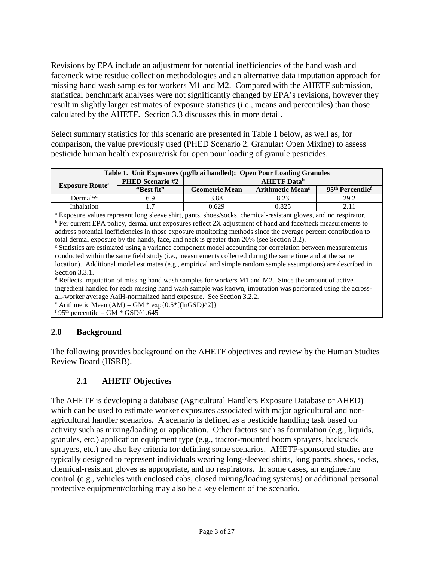Revisions by EPA include an adjustment for potential inefficiencies of the hand wash and face/neck wipe residue collection methodologies and an alternative data imputation approach for missing hand wash samples for workers M1 and M2. Compared with the AHETF submission, statistical benchmark analyses were not significantly changed by EPA's revisions, however they result in slightly larger estimates of exposure statistics (i.e., means and percentiles) than those calculated by the AHETF. Section 3.3 discusses this in more detail.

Select summary statistics for this scenario are presented in Table 1 below, as well as, for comparison, the value previously used (PHED Scenario 2. Granular: Open Mixing) to assess pesticide human health exposure/risk for open pour loading of granule pesticides.

| Table 1. Unit Exposures (µg/lb ai handled): Open Pour Loading Granules |                         |                                |                                    |                                          |  |  |  |
|------------------------------------------------------------------------|-------------------------|--------------------------------|------------------------------------|------------------------------------------|--|--|--|
|                                                                        | <b>PHED Scenario #2</b> | <b>AHETF</b> Data <sup>b</sup> |                                    |                                          |  |  |  |
| <b>Exposure Route</b> <sup>a</sup>                                     | "Best fit"              | <b>Geometric Mean</b>          | <b>Arithmetic Mean<sup>e</sup></b> | 95 <sup>th</sup> Percentile <sup>f</sup> |  |  |  |
| $Dermal^{c,d}$                                                         | 6.9                     | 3.88                           | 8.23                               | 29.2                                     |  |  |  |
| Inhalation                                                             |                         | 0.629                          | 0.825                              |                                          |  |  |  |

<sup>a</sup> Exposure values represent long sleeve shirt, pants, shoes/socks, chemical-resistant gloves, and no respirator. b Per current EPA policy, dermal unit exposures reflect 2X adjustment of hand and face/neck measurements to address potential inefficiencies in those exposure monitoring methods since the average percent contribution to total dermal exposure by the hands, face, and neck is greater than 20% (see Section 3.2).

<sup>c</sup> Statistics are estimated using a variance component model accounting for correlation between measurements conducted within the same field study (i.e., measurements collected during the same time and at the same location). Additional model estimates (e.g., empirical and simple random sample assumptions) are described in Section 3.3.1.

<sup>d</sup> Reflects imputation of missing hand wash samples for workers M1 and M2. Since the amount of active ingredient handled for each missing hand wash sample was known, imputation was performed using the across-<br>all-worker average AaiH-normalized hand exposure. See Section 3.2.2.

 $\text{F}$  Arithmetic Mean (AM) = GM  $\text{*}$  exp{0.5 $\text{*}$ [(lnGSD)^2]}

 $f$  95<sup>th</sup> percentile = GM  $*$  GSD^1.645

### **2.0 Background**

The following provides background on the AHETF objectives and review by the Human Studies Review Board (HSRB).

## **2.1 AHETF Objectives**

The AHETF is developing a database (Agricultural Handlers Exposure Database or AHED) which can be used to estimate worker exposures associated with major agricultural and nonagricultural handler scenarios. A scenario is defined as a pesticide handling task based on activity such as mixing/loading or application. Other factors such as formulation (e.g., liquids, granules, etc.) application equipment type (e.g., tractor-mounted boom sprayers, backpack sprayers, etc.) are also key criteria for defining some scenarios. AHETF-sponsored studies are typically designed to represent individuals wearing long-sleeved shirts, long pants, shoes, socks, chemical-resistant gloves as appropriate, and no respirators. In some cases, an engineering control (e.g., vehicles with enclosed cabs, closed mixing/loading systems) or additional personal protective equipment/clothing may also be a key element of the scenario.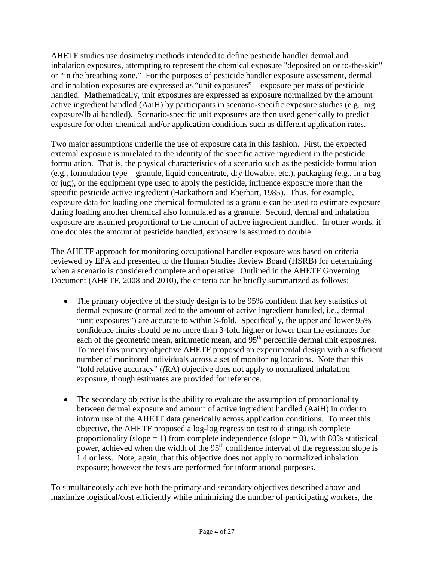AHETF studies use dosimetry methods intended to define pesticide handler dermal and inhalation exposures, attempting to represent the chemical exposure "deposited on or to-the-skin" or "in the breathing zone." For the purposes of pesticide handler exposure assessment, dermal and inhalation exposures are expressed as "unit exposures" – exposure per mass of pesticide handled. Mathematically, unit exposures are expressed as exposure normalized by the amount active ingredient handled (AaiH) by participants in scenario-specific exposure studies (e.g., mg exposure/lb ai handled). Scenario-specific unit exposures are then used generically to predict exposure for other chemical and/or application conditions such as different application rates.

Two major assumptions underlie the use of exposure data in this fashion. First, the expected external exposure is unrelated to the identity of the specific active ingredient in the pesticide formulation. That is, the physical characteristics of a scenario such as the pesticide formulation (e.g., formulation type – granule, liquid concentrate, dry flowable, etc.), packaging (e.g., in a bag or jug), or the equipment type used to apply the pesticide, influence exposure more than the specific pesticide active ingredient (Hackathorn and Eberhart, 1985). Thus, for example, exposure data for loading one chemical formulated as a granule can be used to estimate exposure during loading another chemical also formulated as a granule. Second, dermal and inhalation exposure are assumed proportional to the amount of active ingredient handled. In other words, if one doubles the amount of pesticide handled, exposure is assumed to double.

The AHETF approach for monitoring occupational handler exposure was based on criteria reviewed by EPA and presented to the Human Studies Review Board (HSRB) for determining when a scenario is considered complete and operative. Outlined in the AHETF Governing Document (AHETF, 2008 and 2010), the criteria can be briefly summarized as follows:

- The primary objective of the study design is to be 95% confident that key statistics of dermal exposure (normalized to the amount of active ingredient handled, i.e., dermal "unit exposures") are accurate to within 3-fold. Specifically, the upper and lower 95% confidence limits should be no more than 3-fold higher or lower than the estimates for each of the geometric mean, arithmetic mean, and 95<sup>th</sup> percentile dermal unit exposures. To meet this primary objective AHETF proposed an experimental design with a sufficient number of monitored individuals across a set of monitoring locations. Note that this "fold relative accuracy" (*f*RA) objective does not apply to normalized inhalation exposure, though estimates are provided for reference.
- The secondary objective is the ability to evaluate the assumption of proportionality between dermal exposure and amount of active ingredient handled (AaiH) in order to inform use of the AHETF data generically across application conditions. To meet this objective, the AHETF proposed a log-log regression test to distinguish complete proportionality (slope  $= 1$ ) from complete independence (slope  $= 0$ ), with 80% statistical power, achieved when the width of the 95<sup>th</sup> confidence interval of the regression slope is 1.4 or less. Note, again, that this objective does not apply to normalized inhalation exposure; however the tests are performed for informational purposes.

To simultaneously achieve both the primary and secondary objectives described above and maximize logistical/cost efficiently while minimizing the number of participating workers, the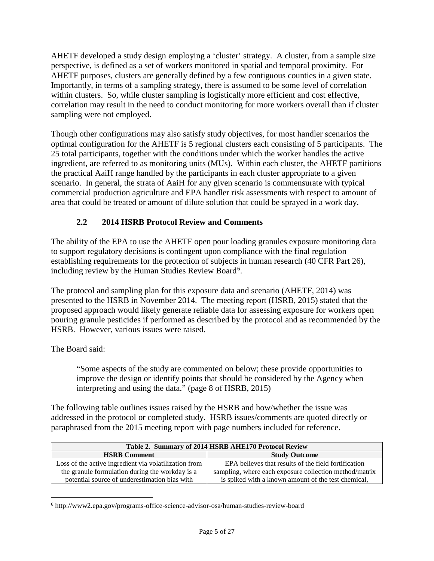AHETF developed a study design employing a 'cluster' strategy. A cluster, from a sample size perspective, is defined as a set of workers monitored in spatial and temporal proximity. For AHETF purposes, clusters are generally defined by a few contiguous counties in a given state. Importantly, in terms of a sampling strategy, there is assumed to be some level of correlation within clusters. So, while cluster sampling is logistically more efficient and cost effective, correlation may result in the need to conduct monitoring for more workers overall than if cluster sampling were not employed.

Though other configurations may also satisfy study objectives, for most handler scenarios the optimal configuration for the AHETF is 5 regional clusters each consisting of 5 participants. The 25 total participants, together with the conditions under which the worker handles the active ingredient, are referred to as monitoring units (MUs). Within each cluster, the AHETF partitions the practical AaiH range handled by the participants in each cluster appropriate to a given scenario. In general, the strata of AaiH for any given scenario is commensurate with typical commercial production agriculture and EPA handler risk assessments with respect to amount of area that could be treated or amount of dilute solution that could be sprayed in a work day.

## **2.2 2014 HSRB Protocol Review and Comments**

The ability of the EPA to use the AHETF open pour loading granules exposure monitoring data to support regulatory decisions is contingent upon compliance with the final regulation establishing requirements for the protection of subjects in human research (40 CFR Part 26), including review by the Human Studies Review Board<sup>[6](#page-4-0)</sup>.

The protocol and sampling plan for this exposure data and scenario (AHETF, 2014) was presented to the HSRB in November 2014. The meeting report (HSRB, 2015) stated that the proposed approach would likely generate reliable data for assessing exposure for workers open pouring granule pesticides if performed as described by the protocol and as recommended by the HSRB. However, various issues were raised.

The Board said:

"Some aspects of the study are commented on below; these provide opportunities to improve the design or identify points that should be considered by the Agency when interpreting and using the data." (page 8 of HSRB, 2015)

The following table outlines issues raised by the HSRB and how/whether the issue was addressed in the protocol or completed study. HSRB issues/comments are quoted directly or paraphrased from the 2015 meeting report with page numbers included for reference.

| Table 2. Summary of 2014 HSRB AHE170 Protocol Review  |                                                        |  |  |  |  |
|-------------------------------------------------------|--------------------------------------------------------|--|--|--|--|
| <b>HSRB</b> Comment                                   | <b>Study Outcome</b>                                   |  |  |  |  |
| Loss of the active ingredient via volatilization from | EPA believes that results of the field fortification   |  |  |  |  |
| the granule formulation during the workday is a       | sampling, where each exposure collection method/matrix |  |  |  |  |
| potential source of underestimation bias with         | is spiked with a known amount of the test chemical,    |  |  |  |  |

<span id="page-4-0"></span> <sup>6</sup> http://www2.epa.gov/programs-office-science-advisor-osa/human-studies-review-board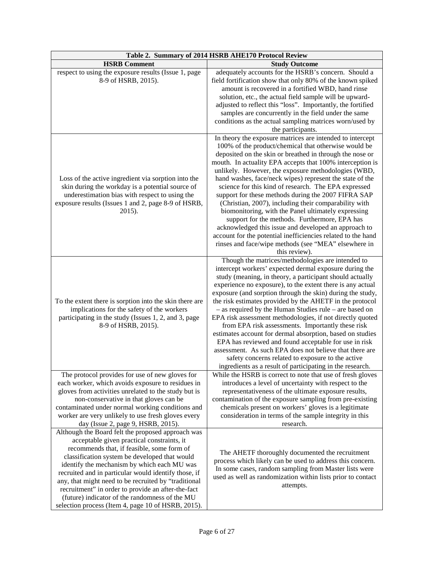| Table 2. Summary of 2014 HSRB AHE170 Protocol Review                                                |                                                                                                                    |  |  |  |
|-----------------------------------------------------------------------------------------------------|--------------------------------------------------------------------------------------------------------------------|--|--|--|
| <b>HSRB Comment</b>                                                                                 | <b>Study Outcome</b>                                                                                               |  |  |  |
| respect to using the exposure results (Issue 1, page<br>8-9 of HSRB, 2015).                         | adequately accounts for the HSRB's concern. Should a<br>field fortification show that only 80% of the known spiked |  |  |  |
|                                                                                                     | amount is recovered in a fortified WBD, hand rinse                                                                 |  |  |  |
|                                                                                                     | solution, etc., the actual field sample will be upward-                                                            |  |  |  |
|                                                                                                     | adjusted to reflect this "loss". Importantly, the fortified                                                        |  |  |  |
|                                                                                                     | samples are concurrently in the field under the same                                                               |  |  |  |
|                                                                                                     | conditions as the actual sampling matrices worn/used by                                                            |  |  |  |
|                                                                                                     | the participants.                                                                                                  |  |  |  |
|                                                                                                     | In theory the exposure matrices are intended to intercept                                                          |  |  |  |
|                                                                                                     | 100% of the product/chemical that otherwise would be                                                               |  |  |  |
|                                                                                                     | deposited on the skin or breathed in through the nose or                                                           |  |  |  |
|                                                                                                     | mouth. In actuality EPA accepts that 100% interception is                                                          |  |  |  |
|                                                                                                     | unlikely. However, the exposure methodologies (WBD,                                                                |  |  |  |
| Loss of the active ingredient via sorption into the                                                 | hand washes, face/neck wipes) represent the state of the                                                           |  |  |  |
| skin during the workday is a potential source of                                                    | science for this kind of research. The EPA expressed                                                               |  |  |  |
| underestimation bias with respect to using the                                                      | support for these methods during the 2007 FIFRA SAP                                                                |  |  |  |
| exposure results (Issues 1 and 2, page 8-9 of HSRB,                                                 | (Christian, 2007), including their comparability with                                                              |  |  |  |
| $2015$ ).                                                                                           | biomonitoring, with the Panel ultimately expressing                                                                |  |  |  |
|                                                                                                     | support for the methods. Furthermore, EPA has                                                                      |  |  |  |
|                                                                                                     | acknowledged this issue and developed an approach to                                                               |  |  |  |
|                                                                                                     | account for the potential inefficiencies related to the hand                                                       |  |  |  |
|                                                                                                     | rinses and face/wipe methods (see "MEA" elsewhere in<br>this review).                                              |  |  |  |
|                                                                                                     | Though the matrices/methodologies are intended to                                                                  |  |  |  |
|                                                                                                     | intercept workers' expected dermal exposure during the                                                             |  |  |  |
|                                                                                                     | study (meaning, in theory, a participant should actually                                                           |  |  |  |
|                                                                                                     | experience no exposure), to the extent there is any actual                                                         |  |  |  |
|                                                                                                     | exposure (and sorption through the skin) during the study,                                                         |  |  |  |
| To the extent there is sorption into the skin there are                                             | the risk estimates provided by the AHETF in the protocol                                                           |  |  |  |
| implications for the safety of the workers                                                          | - as required by the Human Studies rule - are based on                                                             |  |  |  |
| participating in the study (Issues 1, 2, and 3, page                                                | EPA risk assessment methodologies, if not directly quoted                                                          |  |  |  |
| 8-9 of HSRB, 2015).                                                                                 | from EPA risk assessments. Importantly these risk                                                                  |  |  |  |
|                                                                                                     | estimates account for dermal absorption, based on studies                                                          |  |  |  |
|                                                                                                     | EPA has reviewed and found acceptable for use in risk                                                              |  |  |  |
|                                                                                                     | assessment. As such EPA does not believe that there are                                                            |  |  |  |
|                                                                                                     | safety concerns related to exposure to the active                                                                  |  |  |  |
|                                                                                                     | ingredients as a result of participating in the research.                                                          |  |  |  |
| The protocol provides for use of new gloves for                                                     | While the HSRB is correct to note that use of fresh gloves                                                         |  |  |  |
| each worker, which avoids exposure to residues in                                                   | introduces a level of uncertainty with respect to the                                                              |  |  |  |
| gloves from activities unrelated to the study but is                                                | representativeness of the ultimate exposure results,                                                               |  |  |  |
| non-conservative in that gloves can be                                                              | contamination of the exposure sampling from pre-existing                                                           |  |  |  |
| contaminated under normal working conditions and                                                    | chemicals present on workers' gloves is a legitimate                                                               |  |  |  |
| worker are very unlikely to use fresh gloves every                                                  | consideration in terms of the sample integrity in this                                                             |  |  |  |
| day (Issue 2, page 9, HSRB, 2015).                                                                  | research.                                                                                                          |  |  |  |
| Although the Board felt the proposed approach was                                                   |                                                                                                                    |  |  |  |
| acceptable given practical constraints, it<br>recommends that, if feasible, some form of            |                                                                                                                    |  |  |  |
|                                                                                                     | The AHETF thoroughly documented the recruitment                                                                    |  |  |  |
| classification system be developed that would                                                       | process which likely can be used to address this concern.                                                          |  |  |  |
| identify the mechanism by which each MU was<br>recruited and in particular would identify those, if | In some cases, random sampling from Master lists were                                                              |  |  |  |
| any, that might need to be recruited by "traditional                                                | used as well as randomization within lists prior to contact                                                        |  |  |  |
| recruitment" in order to provide an after-the-fact                                                  | attempts.                                                                                                          |  |  |  |
| (future) indicator of the randomness of the MU                                                      |                                                                                                                    |  |  |  |
| selection process (Item 4, page 10 of HSRB, 2015).                                                  |                                                                                                                    |  |  |  |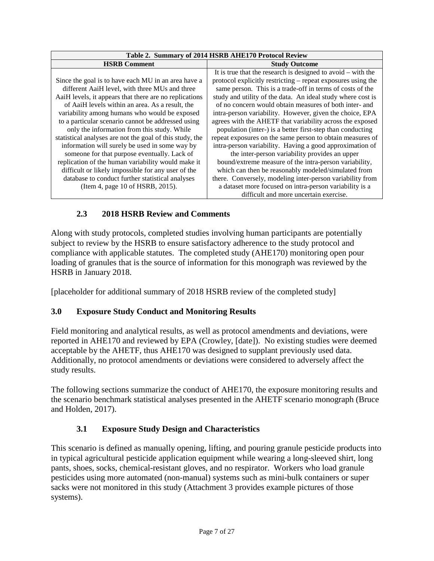| Table 2. Summary of 2014 HSRB AHE170 Protocol Review     |                                                                |  |  |  |  |
|----------------------------------------------------------|----------------------------------------------------------------|--|--|--|--|
| <b>HSRB Comment</b>                                      | <b>Study Outcome</b>                                           |  |  |  |  |
|                                                          | It is true that the research is designed to avoid $-$ with the |  |  |  |  |
| Since the goal is to have each MU in an area have a      | protocol explicitly restricting – repeat exposures using the   |  |  |  |  |
| different AaiH level, with three MUs and three           | same person. This is a trade-off in terms of costs of the      |  |  |  |  |
| AaiH levels, it appears that there are no replications   | study and utility of the data. An ideal study where cost is    |  |  |  |  |
| of AaiH levels within an area. As a result, the          | of no concern would obtain measures of both inter- and         |  |  |  |  |
| variability among humans who would be exposed            | intra-person variability. However, given the choice, EPA       |  |  |  |  |
| to a particular scenario cannot be addressed using       | agrees with the AHETF that variability across the exposed      |  |  |  |  |
| only the information from this study. While              | population (inter-) is a better first-step than conducting     |  |  |  |  |
| statistical analyses are not the goal of this study, the | repeat exposures on the same person to obtain measures of      |  |  |  |  |
| information will surely be used in some way by           | intra-person variability. Having a good approximation of       |  |  |  |  |
| someone for that purpose eventually. Lack of             | the inter-person variability provides an upper                 |  |  |  |  |
| replication of the human variability would make it       | bound/extreme measure of the intra-person variability,         |  |  |  |  |
| difficult or likely impossible for any user of the       | which can then be reasonably modeled/simulated from            |  |  |  |  |
| database to conduct further statistical analyses         | there. Conversely, modeling inter-person variability from      |  |  |  |  |
| (Item 4, page 10 of HSRB, 2015).                         | a dataset more focused on intra-person variability is a        |  |  |  |  |
|                                                          | difficult and more uncertain exercise.                         |  |  |  |  |

# **2.3 2018 HSRB Review and Comments**

Along with study protocols, completed studies involving human participants are potentially subject to review by the HSRB to ensure satisfactory adherence to the study protocol and compliance with applicable statutes. The completed study (AHE170) monitoring open pour loading of granules that is the source of information for this monograph was reviewed by the HSRB in January 2018.

[placeholder for additional summary of 2018 HSRB review of the completed study]

## **3.0 Exposure Study Conduct and Monitoring Results**

Field monitoring and analytical results, as well as protocol amendments and deviations, were reported in AHE170 and reviewed by EPA (Crowley, [date]). No existing studies were deemed acceptable by the AHETF, thus AHE170 was designed to supplant previously used data. Additionally, no protocol amendments or deviations were considered to adversely affect the study results.

The following sections summarize the conduct of AHE170, the exposure monitoring results and the scenario benchmark statistical analyses presented in the AHETF scenario monograph (Bruce and Holden, 2017).

## **3.1 Exposure Study Design and Characteristics**

This scenario is defined as manually opening, lifting, and pouring granule pesticide products into in typical agricultural pesticide application equipment while wearing a long-sleeved shirt, long pants, shoes, socks, chemical-resistant gloves, and no respirator. Workers who load granule pesticides using more automated (non-manual) systems such as mini-bulk containers or super sacks were not monitored in this study (Attachment 3 provides example pictures of those systems).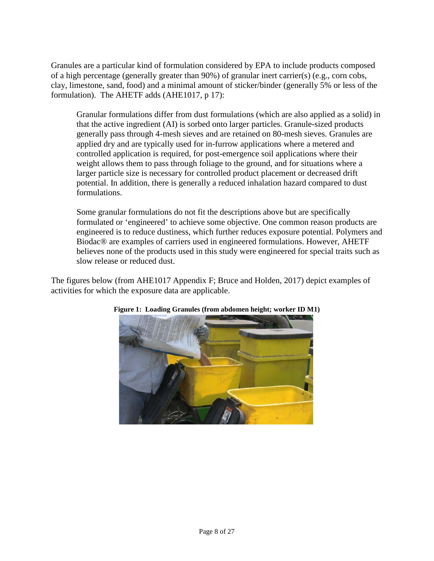Granules are a particular kind of formulation considered by EPA to include products composed of a high percentage (generally greater than 90%) of granular inert carrier(s) (e.g., corn cobs, clay, limestone, sand, food) and a minimal amount of sticker/binder (generally 5% or less of the formulation). The AHETF adds (AHE1017, p 17):

Granular formulations differ from dust formulations (which are also applied as a solid) in that the active ingredient (AI) is sorbed onto larger particles. Granule-sized products generally pass through 4-mesh sieves and are retained on 80-mesh sieves. Granules are applied dry and are typically used for in-furrow applications where a metered and controlled application is required, for post-emergence soil applications where their weight allows them to pass through foliage to the ground, and for situations where a larger particle size is necessary for controlled product placement or decreased drift potential. In addition, there is generally a reduced inhalation hazard compared to dust formulations.

Some granular formulations do not fit the descriptions above but are specifically formulated or 'engineered' to achieve some objective. One common reason products are engineered is to reduce dustiness, which further reduces exposure potential. Polymers and Biodac® are examples of carriers used in engineered formulations. However, AHETF believes none of the products used in this study were engineered for special traits such as slow release or reduced dust.

The figures below (from AHE1017 Appendix F; Bruce and Holden, 2017) depict examples of activities for which the exposure data are applicable.



### **Figure 1: Loading Granules (from abdomen height; worker ID M1)**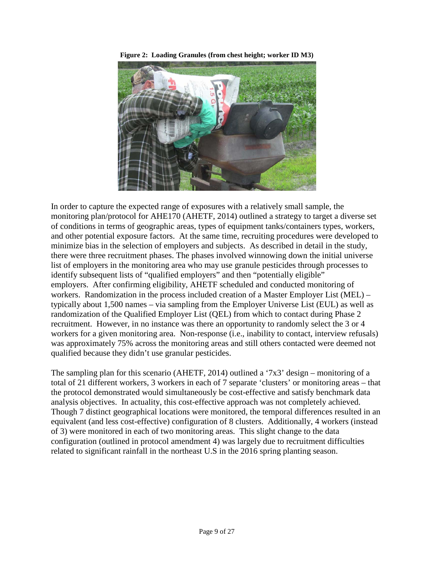



In order to capture the expected range of exposures with a relatively small sample, the monitoring plan/protocol for AHE170 (AHETF, 2014) outlined a strategy to target a diverse set of conditions in terms of geographic areas, types of equipment tanks/containers types, workers, and other potential exposure factors. At the same time, recruiting procedures were developed to minimize bias in the selection of employers and subjects. As described in detail in the study, there were three recruitment phases. The phases involved winnowing down the initial universe list of employers in the monitoring area who may use granule pesticides through processes to identify subsequent lists of "qualified employers" and then "potentially eligible" employers. After confirming eligibility, AHETF scheduled and conducted monitoring of workers. Randomization in the process included creation of a Master Employer List (MEL) – typically about 1,500 names – via sampling from the Employer Universe List (EUL) as well as randomization of the Qualified Employer List (QEL) from which to contact during Phase 2 recruitment. However, in no instance was there an opportunity to randomly select the 3 or 4 workers for a given monitoring area. Non-response (i.e., inability to contact, interview refusals) was approximately 75% across the monitoring areas and still others contacted were deemed not qualified because they didn't use granular pesticides.

The sampling plan for this scenario (AHETF, 2014) outlined a '7x3' design – monitoring of a total of 21 different workers, 3 workers in each of 7 separate 'clusters' or monitoring areas – that the protocol demonstrated would simultaneously be cost-effective and satisfy benchmark data analysis objectives. In actuality, this cost-effective approach was not completely achieved. Though 7 distinct geographical locations were monitored, the temporal differences resulted in an equivalent (and less cost-effective) configuration of 8 clusters. Additionally, 4 workers (instead of 3) were monitored in each of two monitoring areas. This slight change to the data configuration (outlined in protocol amendment 4) was largely due to recruitment difficulties related to significant rainfall in the northeast U.S in the 2016 spring planting season.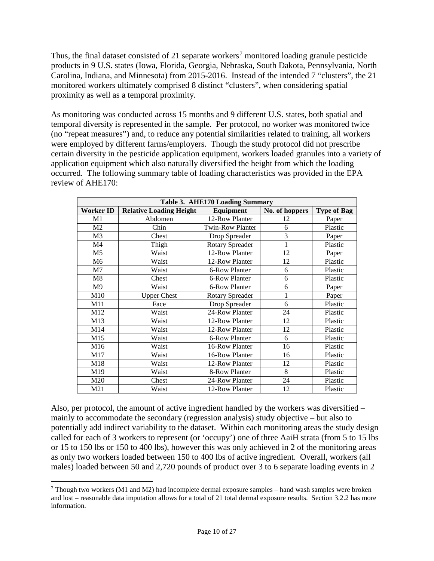Thus, the final dataset consisted of 21 separate workers<sup>[7](#page-9-0)</sup> monitored loading granule pesticide products in 9 U.S. states (Iowa, Florida, Georgia, Nebraska, South Dakota, Pennsylvania, North Carolina, Indiana, and Minnesota) from 2015-2016. Instead of the intended 7 "clusters", the 21 monitored workers ultimately comprised 8 distinct "clusters", when considering spatial proximity as well as a temporal proximity.

As monitoring was conducted across 15 months and 9 different U.S. states, both spatial and temporal diversity is represented in the sample. Per protocol, no worker was monitored twice (no "repeat measures") and, to reduce any potential similarities related to training, all workers were employed by different farms/employers. Though the study protocol did not prescribe certain diversity in the pesticide application equipment, workers loaded granules into a variety of application equipment which also naturally diversified the height from which the loading occurred. The following summary table of loading characteristics was provided in the EPA review of AHE170:

| Table 3. AHE170 Loading Summary |                                |                        |                |                    |  |  |  |  |
|---------------------------------|--------------------------------|------------------------|----------------|--------------------|--|--|--|--|
| <b>Worker ID</b>                | <b>Relative Loading Height</b> | Equipment              | No. of hoppers | <b>Type of Bag</b> |  |  |  |  |
| M1                              | Abdomen                        | 12-Row Planter         | 12             | Paper              |  |  |  |  |
| M <sub>2</sub>                  | Chin                           | Twin-Row Planter       | 6              | Plastic            |  |  |  |  |
| M <sub>3</sub>                  | Chest                          | Drop Spreader          | 3              | Paper              |  |  |  |  |
| M <sub>4</sub>                  | Thigh                          | <b>Rotary Spreader</b> | 1              | Plastic            |  |  |  |  |
| M <sub>5</sub>                  | Waist                          | 12-Row Planter         | 12             | Paper              |  |  |  |  |
| M <sub>6</sub>                  | Waist                          | 12-Row Planter         | 12             | Plastic            |  |  |  |  |
| M <sub>7</sub>                  | Waist                          | 6-Row Planter          | 6              | Plastic            |  |  |  |  |
| M8                              | Chest                          | 6-Row Planter          | 6              | Plastic            |  |  |  |  |
| M <sub>9</sub>                  | Waist                          | 6-Row Planter          | 6              | Paper              |  |  |  |  |
| M10                             | <b>Upper Chest</b>             | <b>Rotary Spreader</b> | 1              | Paper              |  |  |  |  |
| M11                             | Face                           | Drop Spreader          | 6              | Plastic            |  |  |  |  |
| M12                             | Waist                          | 24-Row Planter         | 24             | Plastic            |  |  |  |  |
| M13                             | Waist                          | 12-Row Planter         | 12             | Plastic            |  |  |  |  |
| M14                             | Waist                          | 12-Row Planter         | 12             | Plastic            |  |  |  |  |
| M15                             | Waist                          | 6-Row Planter          | 6              | Plastic            |  |  |  |  |
| M16                             | Waist                          | 16-Row Planter         | 16             | Plastic            |  |  |  |  |
| M17                             | Waist                          | 16-Row Planter         | 16             | Plastic            |  |  |  |  |
| M18                             | Waist                          | 12-Row Planter         | 12             | Plastic            |  |  |  |  |
| M19                             | Waist                          | 8-Row Planter          | 8              | Plastic            |  |  |  |  |
| M20                             | Chest                          | 24-Row Planter         | 24             | Plastic            |  |  |  |  |
| M21                             | Waist                          | 12-Row Planter         | 12             | Plastic            |  |  |  |  |

Also, per protocol, the amount of active ingredient handled by the workers was diversified – mainly to accommodate the secondary (regression analysis) study objective – but also to potentially add indirect variability to the dataset. Within each monitoring areas the study design called for each of 3 workers to represent (or 'occupy') one of three AaiH strata (from 5 to 15 lbs or 15 to 150 lbs or 150 to 400 lbs), however this was only achieved in 2 of the monitoring areas as only two workers loaded between 150 to 400 lbs of active ingredient. Overall, workers (all males) loaded between 50 and 2,720 pounds of product over 3 to 6 separate loading events in 2

<span id="page-9-0"></span> $7$  Though two workers (M1 and M2) had incomplete dermal exposure samples – hand wash samples were broken and lost – reasonable data imputation allows for a total of 21 total dermal exposure results. Section 3.2.2 has more information.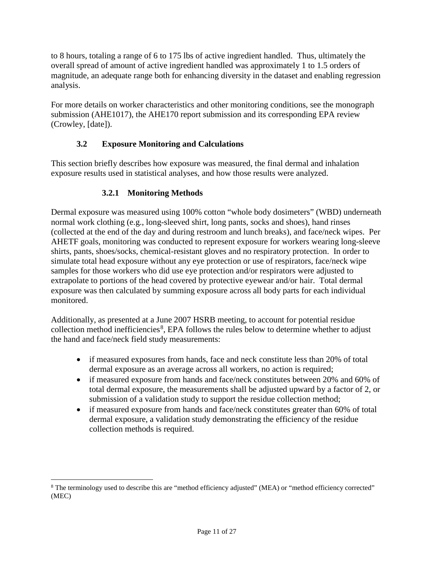to 8 hours, totaling a range of 6 to 175 lbs of active ingredient handled. Thus, ultimately the overall spread of amount of active ingredient handled was approximately 1 to 1.5 orders of magnitude, an adequate range both for enhancing diversity in the dataset and enabling regression analysis.

For more details on worker characteristics and other monitoring conditions, see the monograph submission (AHE1017), the AHE170 report submission and its corresponding EPA review (Crowley, [date]).

## **3.2 Exposure Monitoring and Calculations**

This section briefly describes how exposure was measured, the final dermal and inhalation exposure results used in statistical analyses, and how those results were analyzed.

## **3.2.1 Monitoring Methods**

Dermal exposure was measured using 100% cotton "whole body dosimeters" (WBD) underneath normal work clothing (e.g., long-sleeved shirt, long pants, socks and shoes), hand rinses (collected at the end of the day and during restroom and lunch breaks), and face/neck wipes. Per AHETF goals, monitoring was conducted to represent exposure for workers wearing long-sleeve shirts, pants, shoes/socks, chemical-resistant gloves and no respiratory protection. In order to simulate total head exposure without any eye protection or use of respirators, face/neck wipe samples for those workers who did use eye protection and/or respirators were adjusted to extrapolate to portions of the head covered by protective eyewear and/or hair. Total dermal exposure was then calculated by summing exposure across all body parts for each individual monitored.

Additionally, as presented at a June 2007 HSRB meeting, to account for potential residue collection method inefficiencies<sup>[8](#page-10-0)</sup>, EPA follows the rules below to determine whether to adjust the hand and face/neck field study measurements:

- if measured exposures from hands, face and neck constitute less than 20% of total dermal exposure as an average across all workers, no action is required;
- if measured exposure from hands and face/neck constitutes between 20% and 60% of total dermal exposure, the measurements shall be adjusted upward by a factor of 2, or submission of a validation study to support the residue collection method;
- if measured exposure from hands and face/neck constitutes greater than 60% of total dermal exposure, a validation study demonstrating the efficiency of the residue collection methods is required.

<span id="page-10-0"></span> <sup>8</sup> The terminology used to describe this are "method efficiency adjusted" (MEA) or "method efficiency corrected" (MEC)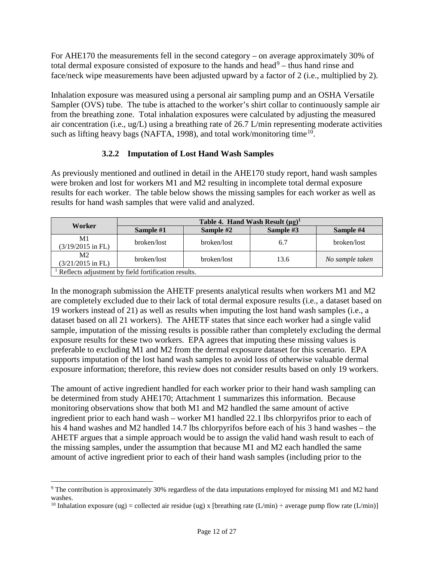For AHE170 the measurements fell in the second category – on average approximately 30% of total dermal exposure consisted of exposure to the hands and head $9$  – thus hand rinse and face/neck wipe measurements have been adjusted upward by a factor of 2 (i.e., multiplied by 2).

Inhalation exposure was measured using a personal air sampling pump and an OSHA Versatile Sampler (OVS) tube. The tube is attached to the worker's shirt collar to continuously sample air from the breathing zone. Total inhalation exposures were calculated by adjusting the measured air concentration (i.e., ug/L) using a breathing rate of 26.7 L/min representing moderate activities such as lifting heavy bags (NAFTA, 1998), and total work/monitoring time<sup>10</sup>.

### **3.2.2 Imputation of Lost Hand Wash Samples**

As previously mentioned and outlined in detail in the AHE170 study report, hand wash samples were broken and lost for workers M1 and M2 resulting in incomplete total dermal exposure results for each worker. The table below shows the missing samples for each worker as well as results for hand wash samples that were valid and analyzed.

| Worker                                                           | Table 4. Hand Wash Result $(\mu g)^1$ |             |           |                 |  |  |  |  |
|------------------------------------------------------------------|---------------------------------------|-------------|-----------|-----------------|--|--|--|--|
|                                                                  | Sample #1                             | Sample #2   | Sample #3 | Sample #4       |  |  |  |  |
| M1                                                               | broken/lost                           | broken/lost | 6.7       | broken/lost     |  |  |  |  |
| $(3/19/2015$ in FL)                                              |                                       |             |           |                 |  |  |  |  |
| M <sub>2</sub><br>$(3/21/2015$ in FL)                            | broken/lost                           | broken/lost | 13.6      | No sample taken |  |  |  |  |
| <sup>1</sup> Reflects adjustment by field fortification results. |                                       |             |           |                 |  |  |  |  |

In the monograph submission the AHETF presents analytical results when workers M1 and M2 are completely excluded due to their lack of total dermal exposure results (i.e., a dataset based on 19 workers instead of 21) as well as results when imputing the lost hand wash samples (i.e., a dataset based on all 21 workers). The AHETF states that since each worker had a single valid sample, imputation of the missing results is possible rather than completely excluding the dermal exposure results for these two workers. EPA agrees that imputing these missing values is preferable to excluding M1 and M2 from the dermal exposure dataset for this scenario. EPA supports imputation of the lost hand wash samples to avoid loss of otherwise valuable dermal exposure information; therefore, this review does not consider results based on only 19 workers.

The amount of active ingredient handled for each worker prior to their hand wash sampling can be determined from study AHE170; Attachment 1 summarizes this information. Because monitoring observations show that both M1 and M2 handled the same amount of active ingredient prior to each hand wash – worker M1 handled 22.1 lbs chlorpyrifos prior to each of his 4 hand washes and M2 handled 14.7 lbs chlorpyrifos before each of his 3 hand washes – the AHETF argues that a simple approach would be to assign the valid hand wash result to each of the missing samples, under the assumption that because M1 and M2 each handled the same amount of active ingredient prior to each of their hand wash samples (including prior to the

<span id="page-11-0"></span> <sup>9</sup> The contribution is approximately 30% regardless of the data imputations employed for missing M1 and M2 hand washes.

<span id="page-11-1"></span><sup>&</sup>lt;sup>10</sup> Inhalation exposure (ug) = collected air residue (ug) x [breathing rate (L/min) ÷ average pump flow rate (L/min)]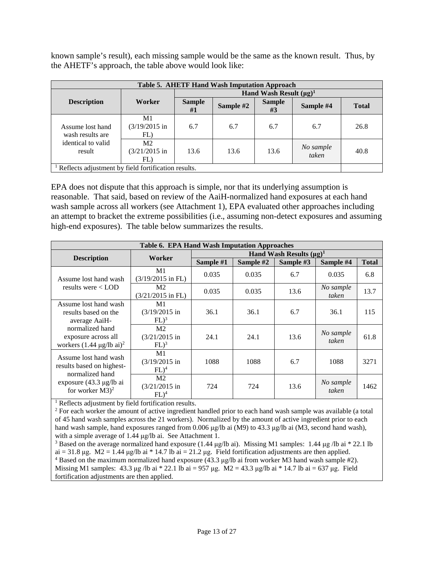known sample's result), each missing sample would be the same as the known result. Thus, by the AHETF's approach, the table above would look like:

| Table 5. AHETF Hand Wash Imputation Approach        |                                           |                     |                              |                     |                    |              |  |  |  |
|-----------------------------------------------------|-------------------------------------------|---------------------|------------------------------|---------------------|--------------------|--------------|--|--|--|
|                                                     |                                           |                     | Hand Wash Result $(\mu g)^1$ |                     |                    |              |  |  |  |
| <b>Description</b>                                  | Worker                                    | <b>Sample</b><br>#1 | Sample #2                    | <b>Sample</b><br>#3 | Sample #4          | <b>Total</b> |  |  |  |
| Assume lost hand<br>wash results are                | M1<br>$(3/19/2015)$ in<br>FL)             | 6.7                 | 6.7                          | 6.7                 | 6.7                | 26.8         |  |  |  |
| identical to valid<br>result                        | M <sub>2</sub><br>$(3/21/2015)$ in<br>FL) | 13.6                | 13.6                         | 13.6                | No sample<br>taken | 40.8         |  |  |  |
| Reflects adjustment by field fortification results. |                                           |                     |                              |                     |                    |              |  |  |  |

EPA does not dispute that this approach is simple, nor that its underlying assumption is reasonable. That said, based on review of the AaiH-normalized hand exposures at each hand wash sample across all workers (see Attachment 1), EPA evaluated other approaches including an attempt to bracket the extreme possibilities (i.e., assuming non-detect exposures and assuming high-end exposures). The table below summarizes the results.

| Table 6. EPA Hand Wash Imputation Approaches                                                                                         |                                               |                               |           |           |                    |              |  |  |
|--------------------------------------------------------------------------------------------------------------------------------------|-----------------------------------------------|-------------------------------|-----------|-----------|--------------------|--------------|--|--|
| <b>Description</b>                                                                                                                   | Worker                                        | Hand Wash Results $(\mu g)^1$ |           |           |                    |              |  |  |
|                                                                                                                                      |                                               | Sample #1                     | Sample #2 | Sample #3 | Sample #4          | <b>Total</b> |  |  |
| Assume lost hand wash                                                                                                                | M1<br>$(3/19/2015$ in FL)                     | 0.035                         | 0.035     | 6.7       | 0.035              | 6.8          |  |  |
| results were $\langle$ LOD                                                                                                           | M <sub>2</sub><br>$(3/21/2015$ in FL)         | 0.035                         | 0.035     | 13.6      | No sample<br>taken | 13.7         |  |  |
| Assume lost hand wash<br>results based on the<br>average AaiH-                                                                       | M1<br>$(3/19/2015)$ in<br>$FL)^3$             | 36.1                          | 36.1      | 6.7       | 36.1               | 115          |  |  |
| normalized hand<br>exposure across all<br>workers $(1.44 \text{ µg/lb ai})^2$                                                        | M <sub>2</sub><br>$(3/21/2015)$ in<br>$FL)^3$ | 24.1                          | 24.1      | 13.6      | No sample<br>taken | 61.8         |  |  |
| Assume lost hand wash<br>results based on highest-<br>normalized hand<br>exposure $(43.3 \mu g/lb \text{ ai})$<br>for worker $M3)^2$ | M1<br>$(3/19/2015)$ in<br>$FL)^4$             | 1088                          | 1088      | 6.7       | 1088               | 3271         |  |  |
|                                                                                                                                      | M <sub>2</sub><br>$(3/21/2015)$ in<br>$FL)^4$ | 724                           | 724       | 13.6      | No sample<br>taken | 1462         |  |  |

<sup>1</sup> Reflects adjustment by field fortification results.

<sup>2</sup> For each worker the amount of active ingredient handled prior to each hand wash sample was available (a total of 45 hand wash samples across the 21 workers). Normalized by the amount of active ingredient prior to each hand wash sample, hand exposures ranged from 0.006 μg/lb ai (M9) to 43.3 μg/lb ai (M3, second hand wash), with a simple average of 1.44 μg/lb ai. See Attachment 1.

<sup>3</sup> Based on the average normalized hand exposure (1.44 μg/lb ai). Missing M1 samples: 1.44 μg /lb ai \* 22.1 lb ai = 31.8 μg.  $M2 = 1.44 \text{ µg/lb}$  ai \* 14.7 lb ai = 21.2 μg. Field fortification adjustments are then applied. <sup>4</sup> Based on the maximum normalized hand exposure  $(43.3 \mu g/lb)$  ai from worker M3 hand wash sample #2). Missing M1 samples:  $43.3 \text{ µg}$  /lb ai  $* 22.1 \text{ lb}$  ai =  $957 \text{ µg}$ . M2 =  $43.3 \text{ µg}$ /lb ai  $* 14.7 \text{ lb}$  ai =  $637 \text{ µg}$ . Field fortification adjustments are then applied.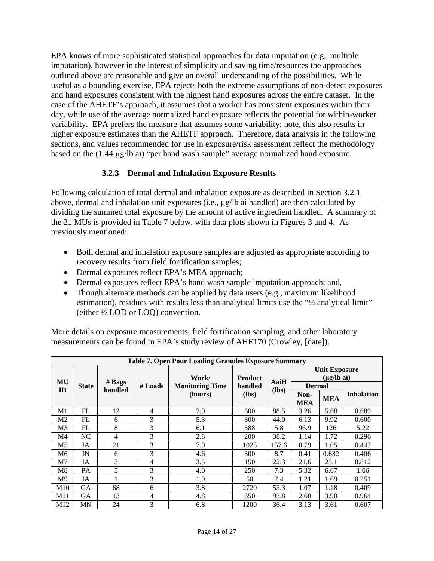EPA knows of more sophisticated statistical approaches for data imputation (e.g., multiple imputation), however in the interest of simplicity and saving time/resources the approaches outlined above are reasonable and give an overall understanding of the possibilities. While useful as a bounding exercise, EPA rejects both the extreme assumptions of non-detect exposures and hand exposures consistent with the highest hand exposures across the entire dataset. In the case of the AHETF's approach, it assumes that a worker has consistent exposures within their day, while use of the average normalized hand exposure reflects the potential for within-worker variability. EPA prefers the measure that assumes some variability; note, this also results in higher exposure estimates than the AHETF approach. Therefore, data analysis in the following sections, and values recommended for use in exposure/risk assessment reflect the methodology based on the (1.44 μg/lb ai) "per hand wash sample" average normalized hand exposure.

## **3.2.3 Dermal and Inhalation Exposure Results**

Following calculation of total dermal and inhalation exposure as described in Section 3.2.1 above, dermal and inhalation unit exposures (i.e., μg/lb ai handled) are then calculated by dividing the summed total exposure by the amount of active ingredient handled. A summary of the 21 MUs is provided in [Table 7](#page-13-0) below, with data plots shown in Figures 3 and 4. As previously mentioned:

- Both dermal and inhalation exposure samples are adjusted as appropriate according to recovery results from field fortification samples;
- Dermal exposures reflect EPA's MEA approach;
- Dermal exposures reflect EPA's hand wash sample imputation approach; and,
- Though alternate methods can be applied by data users (e.g., maximum likelihood estimation), residues with results less than analytical limits use the " $\frac{1}{2}$  analytical limit" (either ½ LOD or LOQ) convention.

More details on exposure measurements, field fortification sampling, and other laboratory measurements can be found in EPA's study review of AHE170 (Crowley, [date]).

<span id="page-13-0"></span>

|                | <b>Table 7. Open Pour Loading Granules Exposure Summary</b> |                           |                |                        |                |                 |                                                   |            |                   |
|----------------|-------------------------------------------------------------|---------------------------|----------------|------------------------|----------------|-----------------|---------------------------------------------------|------------|-------------------|
|                |                                                             |                           |                | Work/                  | <b>Product</b> |                 | <b>Unit Exposure</b><br>$(\mu g / Ib \text{ ai})$ |            |                   |
| MU             | <b>State</b>                                                | # <b>Bayes</b><br>handled | # Loads        | <b>Monitoring Time</b> | handled        | AaiH<br>$(lbs)$ | <b>Dermal</b>                                     |            |                   |
|                | ID                                                          |                           |                | (hours)                | $(lbs)$        |                 | Non-<br><b>MEA</b>                                | <b>MEA</b> | <b>Inhalation</b> |
| M1             | FL                                                          | 12                        | 4              | 7.0                    | 600            | 88.5            | 3.26                                              | 5.68       | 0.689             |
| M <sub>2</sub> | FL                                                          | 6                         | 3              | 5.3                    | 300            | 44.0            | 6.13                                              | 9.92       | 0.600             |
| M3             | FL                                                          | 8                         | 3              | 6.1                    | 388            | 5.8             | 96.9                                              | 126        | 5.22              |
| M4             | NC                                                          | 4                         | 3              | 2.8                    | 200            | 38.2            | 1.14                                              | 1.72       | 0.296             |
| M <sub>5</sub> | IA                                                          | 21                        | 3              | 7.0                    | 1025           | 157.6           | 0.79                                              | 1.05       | 0.447             |
| M6             | IN                                                          | 6                         | 3              | 4.6                    | 300            | 8.7             | 0.41                                              | 0.632      | 0.406             |
| M7             | IA                                                          | 3                         | 4              | 3.5                    | 150            | 22.3            | 21.6                                              | 25.1       | 0.812             |
| M8             | PA                                                          | 5                         | 3              | 4.0                    | 250            | 7.3             | 5.32                                              | 6.67       | 1.66              |
| M9             | IA                                                          |                           | 3              | 1.9                    | 50             | 7.4             | 1.21                                              | 1.69       | 0.251             |
| M10            | GА                                                          | 68                        | 6              | 3.8                    | 2720           | 53.3            | 1.07                                              | 1.18       | 0.409             |
| M11            | GА                                                          | 13                        | $\overline{4}$ | 4.8                    | 650            | 93.8            | 2.68                                              | 3.90       | 0.964             |
| M12            | MN                                                          | 24                        | 3              | 6.8                    | 1200           | 36.4            | 3.13                                              | 3.61       | 0.607             |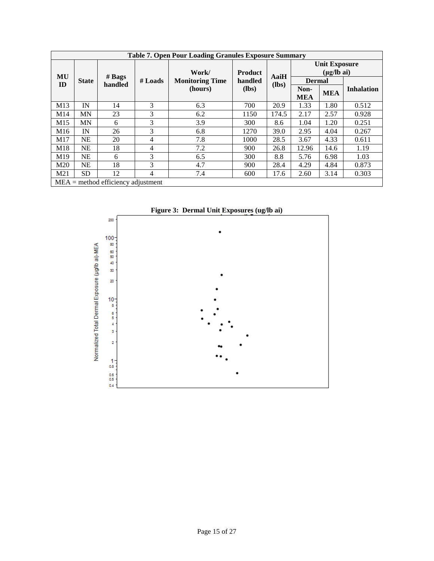|                 | <b>Table 7. Open Pour Loading Granules Exposure Summary</b> |                                      |           |                        |                    |       |                                                   |            |                   |  |
|-----------------|-------------------------------------------------------------|--------------------------------------|-----------|------------------------|--------------------|-------|---------------------------------------------------|------------|-------------------|--|
|                 |                                                             |                                      |           | Work/                  | <b>Product</b>     |       | <b>Unit Exposure</b><br>$(\mu g / Ib \text{ ai})$ |            |                   |  |
| MU<br>ID        | <b>State</b>                                                | # <b>Bayes</b><br>handled            | $#$ Loads | <b>Monitoring Time</b> | handled            | AaiH  | <b>Dermal</b>                                     |            |                   |  |
|                 |                                                             |                                      |           | (hours)                | $(lbs)$<br>$(lbs)$ |       | Non-<br><b>MEA</b>                                | <b>MEA</b> | <b>Inhalation</b> |  |
| M13             | IN                                                          | 14                                   | 3         | 6.3                    | 700                | 20.9  | 1.33                                              | 1.80       | 0.512             |  |
| M14             | MN                                                          | 23                                   | 3         | 6.2                    | 1150               | 174.5 | 2.17                                              | 2.57       | 0.928             |  |
| M <sub>15</sub> | <b>MN</b>                                                   | 6                                    | 3         | 3.9                    | 300                | 8.6   | 1.04                                              | 1.20       | 0.251             |  |
| M <sub>16</sub> | IN                                                          | 26                                   | 3         | 6.8                    | 1270               | 39.0  | 2.95                                              | 4.04       | 0.267             |  |
| M17             | <b>NE</b>                                                   | 20                                   | 4         | 7.8                    | 1000               | 28.5  | 3.67                                              | 4.33       | 0.611             |  |
| M18             | <b>NE</b>                                                   | 18                                   | 4         | 7.2                    | 900                | 26.8  | 12.96                                             | 14.6       | 1.19              |  |
| M <sub>19</sub> | <b>NE</b>                                                   | 6                                    | 3         | 6.5                    | 300                | 8.8   | 5.76                                              | 6.98       | 1.03              |  |
| M <sub>20</sub> | <b>NE</b>                                                   | 18                                   | 3         | 4.7                    | 900                | 28.4  | 4.29                                              | 4.84       | 0.873             |  |
| M21             | <b>SD</b>                                                   | 12                                   | 4         | 7.4                    | 600                | 17.6  | 2.60                                              | 3.14       | 0.303             |  |
|                 |                                                             | $MEA =$ method efficiency adjustment |           |                        |                    |       |                                                   |            |                   |  |

**Figure 3: Dermal Unit Exposures (ug/lb ai)**

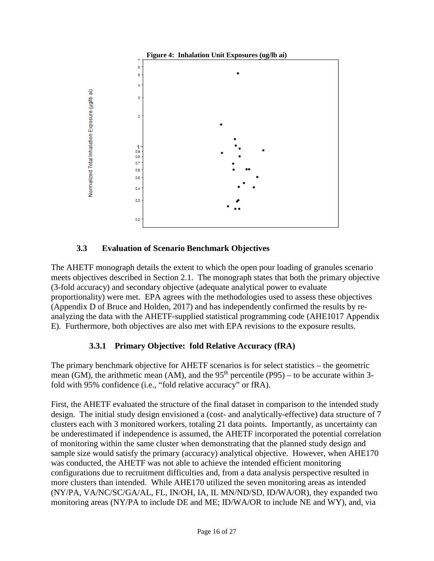

### **3.3 Evaluation of Scenario Benchmark Objectives**

The AHETF monograph details the extent to which the open pour loading of granules scenario meets objectives described in Section 2.1. The monograph states that both the primary objective (3-fold accuracy) and secondary objective (adequate analytical power to evaluate proportionality) were met. EPA agrees with the methodologies used to assess these objectives (Appendix D of Bruce and Holden, 2017) and has independently confirmed the results by reanalyzing the data with the AHETF-supplied statistical programming code (AHE1017 Appendix E). Furthermore, both objectives are also met with EPA revisions to the exposure results.

## **3.3.1 Primary Objective: fold Relative Accuracy (fRA)**

The primary benchmark objective for AHETF scenarios is for select statistics – the geometric mean (GM), the arithmetic mean (AM), and the  $95<sup>th</sup>$  percentile (P95) – to be accurate within 3fold with 95% confidence (i.e., "fold relative accuracy" or fRA).

First, the AHETF evaluated the structure of the final dataset in comparison to the intended study design. The initial study design envisioned a (cost- and analytically-effective) data structure of 7 clusters each with 3 monitored workers, totaling 21 data points. Importantly, as uncertainty can be underestimated if independence is assumed, the AHETF incorporated the potential correlation of monitoring within the same cluster when demonstrating that the planned study design and sample size would satisfy the primary (accuracy) analytical objective. However, when AHE170 was conducted, the AHETF was not able to achieve the intended efficient monitoring configurations due to recruitment difficulties and, from a data analysis perspective resulted in more clusters than intended. While AHE170 utilized the seven monitoring areas as intended (NY/PA, VA/NC/SC/GA/AL, FL, IN/OH, IA, IL MN/ND/SD, ID/WA/OR), they expanded two monitoring areas (NY/PA to include DE and ME; ID/WA/OR to include NE and WY), and, via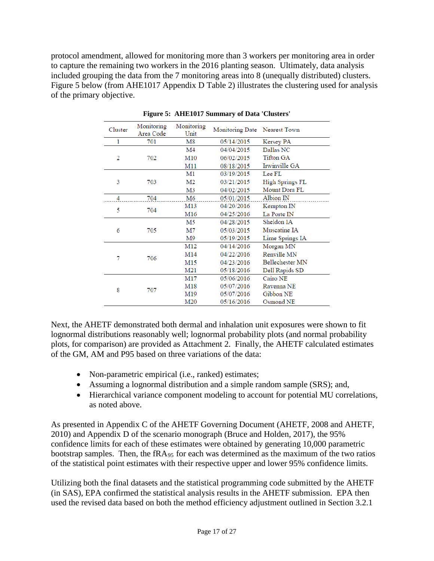protocol amendment, allowed for monitoring more than 3 workers per monitoring area in order to capture the remaining two workers in the 2016 planting season. Ultimately, data analysis included grouping the data from the 7 monitoring areas into 8 (unequally distributed) clusters. Figure 5 below (from AHE1017 Appendix D Table 2) illustrates the clustering used for analysis of the primary objective.

| Cluster | Monitoring<br>Area Code | Monitoring<br>Unit | Monitoring Date Nearest Town |                 |
|---------|-------------------------|--------------------|------------------------------|-----------------|
| 1       | 701                     | M8                 | 05/14/2015                   | Kersey PA       |
|         |                         | M4                 | 04/04/2015                   | Dallas NC       |
| 2       | 702                     | M10                | 06/02/2015                   | Tifton GA       |
|         |                         | M11                | 08/18/2015                   | Irwinville GA   |
|         |                         | M1                 | 03/19/2015                   | Lee FL          |
| 3       | 703                     | M <sub>2</sub>     | 03/21/2015                   | High Springs FL |
|         |                         | M3                 | 04/02/2015                   | Mount Dora FL   |
| 4       | 704                     | M6                 | 05/01/2015                   | Albion IN       |
| 5       | 704                     | M13                | 04/20/2016                   | Kempton IN      |
|         |                         | M16                | 04/25/2016                   | La Porte IN     |
|         |                         | M5                 | 04/28/2015                   | Sheldon IA      |
| 6       | 705                     | M7                 | 05/03/2015                   | Muscatine IA    |
|         |                         | M9                 | 05/19/2015                   | Lime Springs IA |
|         |                         | M12                | 04/14/2016                   | Morgan MN       |
| 7       | 706                     | M14                | 04/22/2016                   | Renville MN     |
|         |                         | M15                | 04/23/2016                   | Bellechester MN |
|         |                         | M21                | 05/18/2016                   | Dell Rapids SD  |
|         |                         | M17                | 05/06/2016                   | Cairo NE        |
| 8       | 707                     | M18                | 05/07/2016                   | Ravenna NE      |
|         |                         | M19                | 05/07/2016                   | Gibbon NE       |
|         |                         | M20                | 05/16/2016                   | Osmond NE       |

**Figure 5: AHE1017 Summary of Data 'Clusters'**

Next, the AHETF demonstrated both dermal and inhalation unit exposures were shown to fit lognormal distributions reasonably well; lognormal probability plots (and normal probability plots, for comparison) are provided as Attachment 2. Finally, the AHETF calculated estimates of the GM, AM and P95 based on three variations of the data:

- Non-parametric empirical (i.e., ranked) estimates;
- Assuming a lognormal distribution and a simple random sample (SRS); and,
- Hierarchical variance component modeling to account for potential MU correlations, as noted above.

As presented in Appendix C of the AHETF Governing Document (AHETF, 2008 and AHETF, 2010) and Appendix D of the scenario monograph (Bruce and Holden, 2017), the 95% confidence limits for each of these estimates were obtained by generating 10,000 parametric bootstrap samples. Then, the fRA $_{95}$  for each was determined as the maximum of the two ratios of the statistical point estimates with their respective upper and lower 95% confidence limits.

Utilizing both the final datasets and the statistical programming code submitted by the AHETF (in SAS), EPA confirmed the statistical analysis results in the AHETF submission. EPA then used the revised data based on both the method efficiency adjustment outlined in Section 3.2.1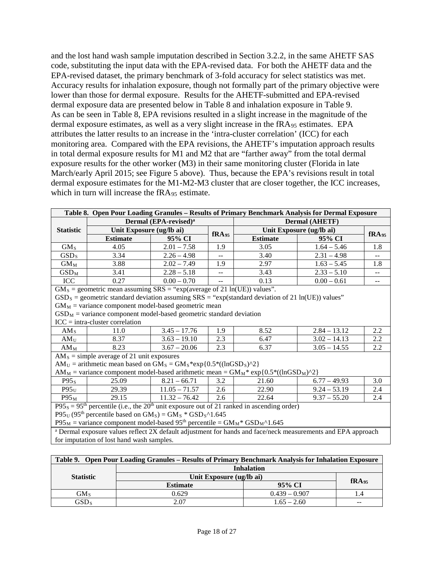and the lost hand wash sample imputation described in Section 3.2.2, in the same AHETF SAS code, substituting the input data with the EPA-revised data. For both the AHETF data and the EPA-revised dataset, the primary benchmark of 3-fold accuracy for select statistics was met. Accuracy results for inhalation exposure, though not formally part of the primary objective were lower than those for dermal exposure. Results for the AHETF-submitted and EPA-revised dermal exposure data are presented below in Table 8 and inhalation exposure in Table 9. As can be seen in Table 8, EPA revisions resulted in a slight increase in the magnitude of the dermal exposure estimates, as well as a very slight increase in the fRA<sub>95</sub> estimates. EPA attributes the latter results to an increase in the 'intra-cluster correlation' (ICC) for each monitoring area. Compared with the EPA revisions, the AHETF's imputation approach results in total dermal exposure results for M1 and M2 that are "farther away" from the total dermal exposure results for the other worker (M3) in their same monitoring cluster (Florida in late March/early April 2015; see Figure 5 above). Thus, because the EPA's revisions result in total dermal exposure estimates for the M1-M2-M3 cluster that are closer together, the ICC increases, which in turn will increase the fRA<sub>95</sub> estimate.

| Dermal (EPA-revised) <sup>a</sup><br><b>Dermal (AHETF)</b><br><b>Statistic</b><br>Unit Exposure (ug/lb ai)<br>Unit Exposure (ug/lb ai)<br>fRA <sub>95</sub><br>fRA <sub>95</sub><br><b>Estimate</b><br><b>Estimate</b><br>95% CI<br>95% CI<br>GM <sub>S</sub><br>4.05<br>$2.01 - 7.58$<br>1.9<br>3.05<br>$1.64 - 5.46$<br>1.8<br>3.40<br>GSD <sub>S</sub><br>3.34<br>$2.26 - 4.98$<br>$2.31 - 4.98$<br>$\overline{a}$<br>$\overline{a}$<br>$2.02 - 7.49$<br>2.97<br>$1.63 - 5.45$<br>$GM_M$<br>3.88<br>1.9<br>1.8<br>$GSD_M$<br>3.41<br>3.43<br>$2.28 - 5.18$<br>$2.33 - 5.10$<br>$\overline{a}$<br>$\overline{a}$<br>ICC<br>0.27<br>$0.00 - 0.70$<br>0.13<br>$0.00 - 0.61$<br>$\mathbf{u}$<br>$\overline{a}$<br>$GM_s$ = geometric mean assuming SRS = "exp(average of 21 ln(UE)) values".<br>$GSD_S$ = geometric standard deviation assuming SRS = "exp(standard deviation of 21 ln(UE)) values"<br>$GM_M$ = variance component model-based geometric mean<br>$GSD_M$ = variance component model-based geometric standard deviation<br>$ICC = intra-cluster correlation$<br>$3.45 - 17.76$<br>$2.84 - 13.12$<br>1.9<br>8.52<br>2.2<br>$AM_S$<br>11.0<br>2.3<br>$3.63 - 19.10$<br>6.47<br>$3.02 - 14.13$<br>2.2<br>AM <sub>U</sub><br>8.37<br>2.3<br>8.23<br>$3.67 - 20.06$<br>6.37<br>$3.05 - 14.55$<br>2.2<br>$AM_M$<br>$AMS$ = simple average of 21 unit exposures<br>$AM_U =$ arithmetic mean based on $GM_S = GM_S * exp{0.5 * ((lnGSD_S)^2)}$<br>$AM_M$ = variance component model-based arithmetic mean = $GM_M$ * exp{0.5*((lnGSD <sub>M</sub> )^2}<br>25.09<br>$8.21 - 66.71$<br>3.2<br>$6.77 - 49.93$<br>3.0<br>P95 <sub>s</sub><br>21.60<br>$11.05 - 71.57$<br>$P95_U$<br>$9.24 - 53.19$<br>29.39<br>2.6<br>22.90<br>2.4<br>2.6<br>29.15<br>2.4<br>$P95_M$<br>$11.32 - 76.42$<br>22.64<br>$9.37 - 55.20$<br>$P95_s = 95th$ percentile (i.e., the 20 <sup>th</sup> unit exposure out of 21 ranked in ascending order)<br>$P95U$ (95 <sup>th</sup> percentile based on GM <sub>s</sub> ) = GM <sub>s</sub> * GSD <sub>s</sub> ^1.645<br>$P95_M$ = variance component model-based 95 <sup>th</sup> percentile = $GM_M$ <sup>*</sup> GSD <sub>M</sub> ^1.645 | Table 8. Open Pour Loading Granules - Results of Primary Benchmark Analysis for Dermal Exposure |  |  |  |  |  |  |  |  |  |
|----------------------------------------------------------------------------------------------------------------------------------------------------------------------------------------------------------------------------------------------------------------------------------------------------------------------------------------------------------------------------------------------------------------------------------------------------------------------------------------------------------------------------------------------------------------------------------------------------------------------------------------------------------------------------------------------------------------------------------------------------------------------------------------------------------------------------------------------------------------------------------------------------------------------------------------------------------------------------------------------------------------------------------------------------------------------------------------------------------------------------------------------------------------------------------------------------------------------------------------------------------------------------------------------------------------------------------------------------------------------------------------------------------------------------------------------------------------------------------------------------------------------------------------------------------------------------------------------------------------------------------------------------------------------------------------------------------------------------------------------------------------------------------------------------------------------------------------------------------------------------------------------------------------------------------------------------------------------------------------------------------------------------------------------------------------------------------------------------------------------------------------------------------------------|-------------------------------------------------------------------------------------------------|--|--|--|--|--|--|--|--|--|
|                                                                                                                                                                                                                                                                                                                                                                                                                                                                                                                                                                                                                                                                                                                                                                                                                                                                                                                                                                                                                                                                                                                                                                                                                                                                                                                                                                                                                                                                                                                                                                                                                                                                                                                                                                                                                                                                                                                                                                                                                                                                                                                                                                      |                                                                                                 |  |  |  |  |  |  |  |  |  |
|                                                                                                                                                                                                                                                                                                                                                                                                                                                                                                                                                                                                                                                                                                                                                                                                                                                                                                                                                                                                                                                                                                                                                                                                                                                                                                                                                                                                                                                                                                                                                                                                                                                                                                                                                                                                                                                                                                                                                                                                                                                                                                                                                                      |                                                                                                 |  |  |  |  |  |  |  |  |  |
|                                                                                                                                                                                                                                                                                                                                                                                                                                                                                                                                                                                                                                                                                                                                                                                                                                                                                                                                                                                                                                                                                                                                                                                                                                                                                                                                                                                                                                                                                                                                                                                                                                                                                                                                                                                                                                                                                                                                                                                                                                                                                                                                                                      |                                                                                                 |  |  |  |  |  |  |  |  |  |
|                                                                                                                                                                                                                                                                                                                                                                                                                                                                                                                                                                                                                                                                                                                                                                                                                                                                                                                                                                                                                                                                                                                                                                                                                                                                                                                                                                                                                                                                                                                                                                                                                                                                                                                                                                                                                                                                                                                                                                                                                                                                                                                                                                      |                                                                                                 |  |  |  |  |  |  |  |  |  |
|                                                                                                                                                                                                                                                                                                                                                                                                                                                                                                                                                                                                                                                                                                                                                                                                                                                                                                                                                                                                                                                                                                                                                                                                                                                                                                                                                                                                                                                                                                                                                                                                                                                                                                                                                                                                                                                                                                                                                                                                                                                                                                                                                                      |                                                                                                 |  |  |  |  |  |  |  |  |  |
|                                                                                                                                                                                                                                                                                                                                                                                                                                                                                                                                                                                                                                                                                                                                                                                                                                                                                                                                                                                                                                                                                                                                                                                                                                                                                                                                                                                                                                                                                                                                                                                                                                                                                                                                                                                                                                                                                                                                                                                                                                                                                                                                                                      |                                                                                                 |  |  |  |  |  |  |  |  |  |
|                                                                                                                                                                                                                                                                                                                                                                                                                                                                                                                                                                                                                                                                                                                                                                                                                                                                                                                                                                                                                                                                                                                                                                                                                                                                                                                                                                                                                                                                                                                                                                                                                                                                                                                                                                                                                                                                                                                                                                                                                                                                                                                                                                      |                                                                                                 |  |  |  |  |  |  |  |  |  |
|                                                                                                                                                                                                                                                                                                                                                                                                                                                                                                                                                                                                                                                                                                                                                                                                                                                                                                                                                                                                                                                                                                                                                                                                                                                                                                                                                                                                                                                                                                                                                                                                                                                                                                                                                                                                                                                                                                                                                                                                                                                                                                                                                                      |                                                                                                 |  |  |  |  |  |  |  |  |  |
|                                                                                                                                                                                                                                                                                                                                                                                                                                                                                                                                                                                                                                                                                                                                                                                                                                                                                                                                                                                                                                                                                                                                                                                                                                                                                                                                                                                                                                                                                                                                                                                                                                                                                                                                                                                                                                                                                                                                                                                                                                                                                                                                                                      |                                                                                                 |  |  |  |  |  |  |  |  |  |
|                                                                                                                                                                                                                                                                                                                                                                                                                                                                                                                                                                                                                                                                                                                                                                                                                                                                                                                                                                                                                                                                                                                                                                                                                                                                                                                                                                                                                                                                                                                                                                                                                                                                                                                                                                                                                                                                                                                                                                                                                                                                                                                                                                      |                                                                                                 |  |  |  |  |  |  |  |  |  |
|                                                                                                                                                                                                                                                                                                                                                                                                                                                                                                                                                                                                                                                                                                                                                                                                                                                                                                                                                                                                                                                                                                                                                                                                                                                                                                                                                                                                                                                                                                                                                                                                                                                                                                                                                                                                                                                                                                                                                                                                                                                                                                                                                                      |                                                                                                 |  |  |  |  |  |  |  |  |  |
|                                                                                                                                                                                                                                                                                                                                                                                                                                                                                                                                                                                                                                                                                                                                                                                                                                                                                                                                                                                                                                                                                                                                                                                                                                                                                                                                                                                                                                                                                                                                                                                                                                                                                                                                                                                                                                                                                                                                                                                                                                                                                                                                                                      |                                                                                                 |  |  |  |  |  |  |  |  |  |
|                                                                                                                                                                                                                                                                                                                                                                                                                                                                                                                                                                                                                                                                                                                                                                                                                                                                                                                                                                                                                                                                                                                                                                                                                                                                                                                                                                                                                                                                                                                                                                                                                                                                                                                                                                                                                                                                                                                                                                                                                                                                                                                                                                      |                                                                                                 |  |  |  |  |  |  |  |  |  |
|                                                                                                                                                                                                                                                                                                                                                                                                                                                                                                                                                                                                                                                                                                                                                                                                                                                                                                                                                                                                                                                                                                                                                                                                                                                                                                                                                                                                                                                                                                                                                                                                                                                                                                                                                                                                                                                                                                                                                                                                                                                                                                                                                                      |                                                                                                 |  |  |  |  |  |  |  |  |  |
|                                                                                                                                                                                                                                                                                                                                                                                                                                                                                                                                                                                                                                                                                                                                                                                                                                                                                                                                                                                                                                                                                                                                                                                                                                                                                                                                                                                                                                                                                                                                                                                                                                                                                                                                                                                                                                                                                                                                                                                                                                                                                                                                                                      |                                                                                                 |  |  |  |  |  |  |  |  |  |
|                                                                                                                                                                                                                                                                                                                                                                                                                                                                                                                                                                                                                                                                                                                                                                                                                                                                                                                                                                                                                                                                                                                                                                                                                                                                                                                                                                                                                                                                                                                                                                                                                                                                                                                                                                                                                                                                                                                                                                                                                                                                                                                                                                      |                                                                                                 |  |  |  |  |  |  |  |  |  |
|                                                                                                                                                                                                                                                                                                                                                                                                                                                                                                                                                                                                                                                                                                                                                                                                                                                                                                                                                                                                                                                                                                                                                                                                                                                                                                                                                                                                                                                                                                                                                                                                                                                                                                                                                                                                                                                                                                                                                                                                                                                                                                                                                                      |                                                                                                 |  |  |  |  |  |  |  |  |  |
|                                                                                                                                                                                                                                                                                                                                                                                                                                                                                                                                                                                                                                                                                                                                                                                                                                                                                                                                                                                                                                                                                                                                                                                                                                                                                                                                                                                                                                                                                                                                                                                                                                                                                                                                                                                                                                                                                                                                                                                                                                                                                                                                                                      |                                                                                                 |  |  |  |  |  |  |  |  |  |
|                                                                                                                                                                                                                                                                                                                                                                                                                                                                                                                                                                                                                                                                                                                                                                                                                                                                                                                                                                                                                                                                                                                                                                                                                                                                                                                                                                                                                                                                                                                                                                                                                                                                                                                                                                                                                                                                                                                                                                                                                                                                                                                                                                      |                                                                                                 |  |  |  |  |  |  |  |  |  |
|                                                                                                                                                                                                                                                                                                                                                                                                                                                                                                                                                                                                                                                                                                                                                                                                                                                                                                                                                                                                                                                                                                                                                                                                                                                                                                                                                                                                                                                                                                                                                                                                                                                                                                                                                                                                                                                                                                                                                                                                                                                                                                                                                                      |                                                                                                 |  |  |  |  |  |  |  |  |  |
|                                                                                                                                                                                                                                                                                                                                                                                                                                                                                                                                                                                                                                                                                                                                                                                                                                                                                                                                                                                                                                                                                                                                                                                                                                                                                                                                                                                                                                                                                                                                                                                                                                                                                                                                                                                                                                                                                                                                                                                                                                                                                                                                                                      |                                                                                                 |  |  |  |  |  |  |  |  |  |
|                                                                                                                                                                                                                                                                                                                                                                                                                                                                                                                                                                                                                                                                                                                                                                                                                                                                                                                                                                                                                                                                                                                                                                                                                                                                                                                                                                                                                                                                                                                                                                                                                                                                                                                                                                                                                                                                                                                                                                                                                                                                                                                                                                      |                                                                                                 |  |  |  |  |  |  |  |  |  |
|                                                                                                                                                                                                                                                                                                                                                                                                                                                                                                                                                                                                                                                                                                                                                                                                                                                                                                                                                                                                                                                                                                                                                                                                                                                                                                                                                                                                                                                                                                                                                                                                                                                                                                                                                                                                                                                                                                                                                                                                                                                                                                                                                                      |                                                                                                 |  |  |  |  |  |  |  |  |  |
|                                                                                                                                                                                                                                                                                                                                                                                                                                                                                                                                                                                                                                                                                                                                                                                                                                                                                                                                                                                                                                                                                                                                                                                                                                                                                                                                                                                                                                                                                                                                                                                                                                                                                                                                                                                                                                                                                                                                                                                                                                                                                                                                                                      |                                                                                                 |  |  |  |  |  |  |  |  |  |
|                                                                                                                                                                                                                                                                                                                                                                                                                                                                                                                                                                                                                                                                                                                                                                                                                                                                                                                                                                                                                                                                                                                                                                                                                                                                                                                                                                                                                                                                                                                                                                                                                                                                                                                                                                                                                                                                                                                                                                                                                                                                                                                                                                      |                                                                                                 |  |  |  |  |  |  |  |  |  |
| <sup>a</sup> Dermal exposure values reflect 2X default adjustment for hands and face/neck measurements and EPA approach                                                                                                                                                                                                                                                                                                                                                                                                                                                                                                                                                                                                                                                                                                                                                                                                                                                                                                                                                                                                                                                                                                                                                                                                                                                                                                                                                                                                                                                                                                                                                                                                                                                                                                                                                                                                                                                                                                                                                                                                                                              |                                                                                                 |  |  |  |  |  |  |  |  |  |
| for imputation of lost hand wash samples.                                                                                                                                                                                                                                                                                                                                                                                                                                                                                                                                                                                                                                                                                                                                                                                                                                                                                                                                                                                                                                                                                                                                                                                                                                                                                                                                                                                                                                                                                                                                                                                                                                                                                                                                                                                                                                                                                                                                                                                                                                                                                                                            |                                                                                                 |  |  |  |  |  |  |  |  |  |

| Table 9. Open Pour Loading Granules – Results of Primary Benchmark Analysis for Inhalation Exposure |                          |                   |     |  |  |  |  |
|-----------------------------------------------------------------------------------------------------|--------------------------|-------------------|-----|--|--|--|--|
|                                                                                                     | <b>Inhalation</b>        |                   |     |  |  |  |  |
| <b>Statistic</b>                                                                                    | Unit Exposure (ug/lb ai) | fRA <sub>95</sub> |     |  |  |  |  |
|                                                                                                     | <b>Estimate</b>          | 95% CI            |     |  |  |  |  |
| GM <sub>s</sub>                                                                                     | 0.629                    | $0.439 - 0.907$   | 1.4 |  |  |  |  |
| $\mathrm{GSD}_{\textnormal S}$                                                                      | 2.07                     | $1.65 - 2.60$     | --  |  |  |  |  |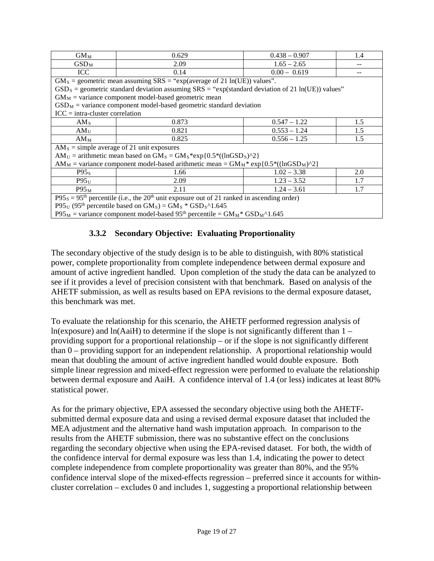| $GM_M$                                                                                                                | 0.629<br>$0.438 - 0.907$<br>1.4                                                                       |                |     |  |  |  |  |  |  |  |
|-----------------------------------------------------------------------------------------------------------------------|-------------------------------------------------------------------------------------------------------|----------------|-----|--|--|--|--|--|--|--|
| $\mathrm{GSD}_{\mathrm{M}}$                                                                                           | 2.09                                                                                                  | $1.65 - 2.65$  |     |  |  |  |  |  |  |  |
| <b>ICC</b>                                                                                                            | $0.00 - 0.619$<br>0.14                                                                                |                |     |  |  |  |  |  |  |  |
|                                                                                                                       | $GM_s$ = geometric mean assuming SRS = "exp(average of 21 ln(UE)) values".                            |                |     |  |  |  |  |  |  |  |
|                                                                                                                       | $GSD_S$ = geometric standard deviation assuming $SRS = "exp(standard deviation of 21 ln(UE))$ values" |                |     |  |  |  |  |  |  |  |
|                                                                                                                       | $GM_M$ = variance component model-based geometric mean                                                |                |     |  |  |  |  |  |  |  |
|                                                                                                                       | $GSD_M$ = variance component model-based geometric standard deviation                                 |                |     |  |  |  |  |  |  |  |
| $ICC = intra-cluster correlation$                                                                                     |                                                                                                       |                |     |  |  |  |  |  |  |  |
| AM <sub>s</sub>                                                                                                       | 0.873                                                                                                 | $0.547 - 1.22$ | 1.5 |  |  |  |  |  |  |  |
| AM <sub>U</sub>                                                                                                       | $0.553 - 1.24$<br>0.821<br>1.5                                                                        |                |     |  |  |  |  |  |  |  |
| $AM_M$                                                                                                                | $0.556 - 1.25$<br>0.825<br>1.5                                                                        |                |     |  |  |  |  |  |  |  |
| $AM_s$ = simple average of 21 unit exposures                                                                          |                                                                                                       |                |     |  |  |  |  |  |  |  |
| $AM_U =$ arithmetic mean based on $GM_S = GM_S * exp{0.5 * ((lnGSD_S)^2)}$                                            |                                                                                                       |                |     |  |  |  |  |  |  |  |
| $AM_M$ = variance component model-based arithmetic mean = $GM_M$ * exp{0.5*((lnGSD <sub>M</sub> )^2)}                 |                                                                                                       |                |     |  |  |  |  |  |  |  |
| P95 <sub>s</sub>                                                                                                      | 1.66                                                                                                  | $1.02 - 3.38$  | 2.0 |  |  |  |  |  |  |  |
| $P95$ <sub>U</sub>                                                                                                    | $1.23 - 3.52$<br>1.7<br>2.09                                                                          |                |     |  |  |  |  |  |  |  |
| $1.24 - 3.61$<br>$P95_M$<br>2.11<br>1.7                                                                               |                                                                                                       |                |     |  |  |  |  |  |  |  |
| $P95_s = 95th$ percentile (i.e., the 20 <sup>th</sup> unit exposure out of 21 ranked in ascending order)              |                                                                                                       |                |     |  |  |  |  |  |  |  |
| $P95_U$ (95 <sup>th</sup> percentile based on GM <sub>S</sub> ) = GM <sub>S</sub> * GSD <sub>S</sub> ^1.645           |                                                                                                       |                |     |  |  |  |  |  |  |  |
| $P95_M$ = variance component model-based 95 <sup>th</sup> percentile = $GM_M$ <sup>*</sup> $GSD_M$ <sup>^1</sup> .645 |                                                                                                       |                |     |  |  |  |  |  |  |  |

### **3.3.2 Secondary Objective: Evaluating Proportionality**

The secondary objective of the study design is to be able to distinguish, with 80% statistical power, complete proportionality from complete independence between dermal exposure and amount of active ingredient handled. Upon completion of the study the data can be analyzed to see if it provides a level of precision consistent with that benchmark. Based on analysis of the AHETF submission, as well as results based on EPA revisions to the dermal exposure dataset, this benchmark was met.

To evaluate the relationship for this scenario, the AHETF performed regression analysis of  $ln(exposure)$  and  $ln(AaiH)$  to determine if the slope is not significantly different than  $1$ providing support for a proportional relationship – or if the slope is not significantly different than 0 – providing support for an independent relationship. A proportional relationship would mean that doubling the amount of active ingredient handled would double exposure. Both simple linear regression and mixed-effect regression were performed to evaluate the relationship between dermal exposure and AaiH. A confidence interval of 1.4 (or less) indicates at least 80% statistical power.

As for the primary objective, EPA assessed the secondary objective using both the AHETFsubmitted dermal exposure data and using a revised dermal exposure dataset that included the MEA adjustment and the alternative hand wash imputation approach. In comparison to the results from the AHETF submission, there was no substantive effect on the conclusions regarding the secondary objective when using the EPA-revised dataset. For both, the width of the confidence interval for dermal exposure was less than 1.4, indicating the power to detect complete independence from complete proportionality was greater than 80%, and the 95% confidence interval slope of the mixed-effects regression – preferred since it accounts for withincluster correlation – excludes 0 and includes 1, suggesting a proportional relationship between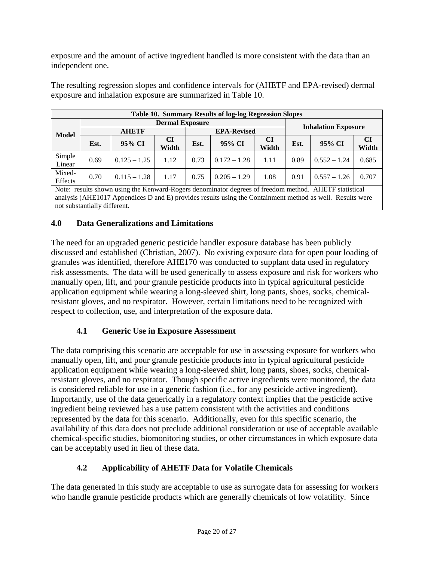exposure and the amount of active ingredient handled is more consistent with the data than an independent one.

| exposure and milantion exposure are summarized in Taone To. |      |              |       |                    |        |       |                            |        |       |
|-------------------------------------------------------------|------|--------------|-------|--------------------|--------|-------|----------------------------|--------|-------|
| Table 10. Summary Results of log-log Regression Slopes      |      |              |       |                    |        |       |                            |        |       |
| <b>Dermal Exposure</b>                                      |      |              |       |                    |        |       |                            |        |       |
| Model                                                       |      | <b>AHETF</b> |       | <b>EPA-Revised</b> |        |       | <b>Inhalation Exposure</b> |        |       |
|                                                             | Est. | 95% CI       | CI    | Est.               | 95% CI | CI    | Est.                       | 95% CI | CI    |
|                                                             |      |              | Width |                    |        | Width |                            |        | Width |

Linear  $\begin{bmatrix} 0.69 & 0.125 - 1.25 & 1.12 & 0.73 & 0.172 - 1.28 & 1.11 & 0.89 & 0.552 - 1.24 & 0.685 \end{bmatrix}$ 

The resulting regression slopes and confidence intervals for (AHETF and EPA-revised) dermal exposure and inhalation exposure are summarized in Table 10.

Effects 0.70 0.115 – 1.28 1.17 0.75 0.205 – 1.29 1.08 0.91 0.557 – 1.26 0.707 Note: results shown using the Kenward-Rogers denominator degrees of freedom method. AHETF statistical analysis (AHE1017 Appendices D and E) provides results using the Containment method as well. Results were not substantially different.

## **4.0 Data Generalizations and Limitations**

Simple

Mixed-

The need for an upgraded generic pesticide handler exposure database has been publicly discussed and established (Christian, 2007). No existing exposure data for open pour loading of granules was identified, therefore AHE170 was conducted to supplant data used in regulatory risk assessments. The data will be used generically to assess exposure and risk for workers who manually open, lift, and pour granule pesticide products into in typical agricultural pesticide application equipment while wearing a long-sleeved shirt, long pants, shoes, socks, chemicalresistant gloves, and no respirator. However, certain limitations need to be recognized with respect to collection, use, and interpretation of the exposure data.

# **4.1 Generic Use in Exposure Assessment**

The data comprising this scenario are acceptable for use in assessing exposure for workers who manually open, lift, and pour granule pesticide products into in typical agricultural pesticide application equipment while wearing a long-sleeved shirt, long pants, shoes, socks, chemicalresistant gloves, and no respirator. Though specific active ingredients were monitored, the data is considered reliable for use in a generic fashion (i.e., for any pesticide active ingredient). Importantly, use of the data generically in a regulatory context implies that the pesticide active ingredient being reviewed has a use pattern consistent with the activities and conditions represented by the data for this scenario. Additionally, even for this specific scenario, the availability of this data does not preclude additional consideration or use of acceptable available chemical-specific studies, biomonitoring studies, or other circumstances in which exposure data can be acceptably used in lieu of these data.

# **4.2 Applicability of AHETF Data for Volatile Chemicals**

The data generated in this study are acceptable to use as surrogate data for assessing for workers who handle granule pesticide products which are generally chemicals of low volatility. Since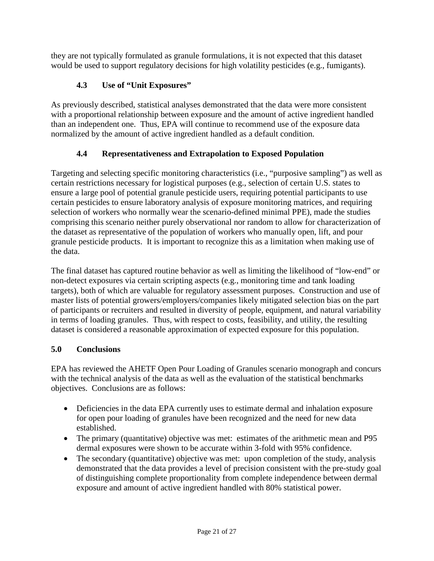they are not typically formulated as granule formulations, it is not expected that this dataset would be used to support regulatory decisions for high volatility pesticides (e.g., fumigants).

# **4.3 Use of "Unit Exposures"**

As previously described, statistical analyses demonstrated that the data were more consistent with a proportional relationship between exposure and the amount of active ingredient handled than an independent one. Thus, EPA will continue to recommend use of the exposure data normalized by the amount of active ingredient handled as a default condition.

# **4.4 Representativeness and Extrapolation to Exposed Population**

Targeting and selecting specific monitoring characteristics (i.e., "purposive sampling") as well as certain restrictions necessary for logistical purposes (e.g., selection of certain U.S. states to ensure a large pool of potential granule pesticide users, requiring potential participants to use certain pesticides to ensure laboratory analysis of exposure monitoring matrices, and requiring selection of workers who normally wear the scenario-defined minimal PPE), made the studies comprising this scenario neither purely observational nor random to allow for characterization of the dataset as representative of the population of workers who manually open, lift, and pour granule pesticide products. It is important to recognize this as a limitation when making use of the data.

The final dataset has captured routine behavior as well as limiting the likelihood of "low-end" or non-detect exposures via certain scripting aspects (e.g., monitoring time and tank loading targets), both of which are valuable for regulatory assessment purposes. Construction and use of master lists of potential growers/employers/companies likely mitigated selection bias on the part of participants or recruiters and resulted in diversity of people, equipment, and natural variability in terms of loading granules. Thus, with respect to costs, feasibility, and utility, the resulting dataset is considered a reasonable approximation of expected exposure for this population.

# **5.0 Conclusions**

EPA has reviewed the AHETF Open Pour Loading of Granules scenario monograph and concurs with the technical analysis of the data as well as the evaluation of the statistical benchmarks objectives. Conclusions are as follows:

- Deficiencies in the data EPA currently uses to estimate dermal and inhalation exposure for open pour loading of granules have been recognized and the need for new data established.
- The primary (quantitative) objective was met: estimates of the arithmetic mean and P95 dermal exposures were shown to be accurate within 3-fold with 95% confidence.
- The secondary (quantitative) objective was met: upon completion of the study, analysis demonstrated that the data provides a level of precision consistent with the pre-study goal of distinguishing complete proportionality from complete independence between dermal exposure and amount of active ingredient handled with 80% statistical power.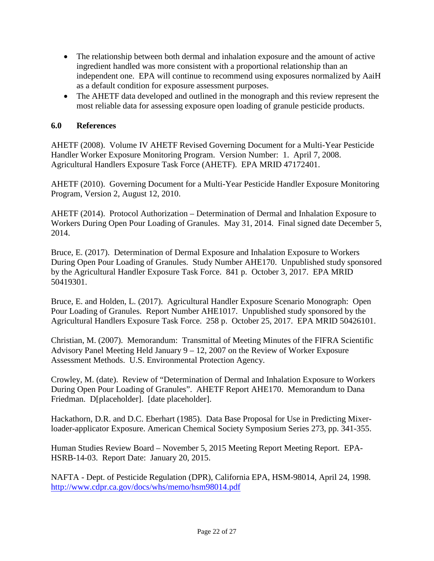- The relationship between both dermal and inhalation exposure and the amount of active ingredient handled was more consistent with a proportional relationship than an independent one. EPA will continue to recommend using exposures normalized by AaiH as a default condition for exposure assessment purposes.
- The AHETF data developed and outlined in the monograph and this review represent the most reliable data for assessing exposure open loading of granule pesticide products.

#### **6.0 References**

AHETF (2008). Volume IV AHETF Revised Governing Document for a Multi-Year Pesticide Handler Worker Exposure Monitoring Program. Version Number: 1. April 7, 2008. Agricultural Handlers Exposure Task Force (AHETF). EPA MRID 47172401.

AHETF (2010). Governing Document for a Multi-Year Pesticide Handler Exposure Monitoring Program, Version 2, August 12, 2010.

AHETF (2014). Protocol Authorization – Determination of Dermal and Inhalation Exposure to Workers During Open Pour Loading of Granules. May 31, 2014. Final signed date December 5, 2014.

Bruce, E. (2017). Determination of Dermal Exposure and Inhalation Exposure to Workers During Open Pour Loading of Granules. Study Number AHE170. Unpublished study sponsored by the Agricultural Handler Exposure Task Force. 841 p. October 3, 2017. EPA MRID 50419301.

Bruce, E. and Holden, L. (2017). Agricultural Handler Exposure Scenario Monograph: Open Pour Loading of Granules. Report Number AHE1017. Unpublished study sponsored by the Agricultural Handlers Exposure Task Force. 258 p. October 25, 2017. EPA MRID 50426101.

Christian, M. (2007). Memorandum: Transmittal of Meeting Minutes of the FIFRA Scientific Advisory Panel Meeting Held January 9 – 12, 2007 on the Review of Worker Exposure Assessment Methods. U.S. Environmental Protection Agency.

Crowley, M. (date). Review of "Determination of Dermal and Inhalation Exposure to Workers During Open Pour Loading of Granules". AHETF Report AHE170. Memorandum to Dana Friedman. D[placeholder]. [date placeholder].

Hackathorn, D.R. and D.C. Eberhart (1985). Data Base Proposal for Use in Predicting Mixerloader-applicator Exposure. American Chemical Society Symposium Series 273, pp. 341-355.

Human Studies Review Board – November 5, 2015 Meeting Report Meeting Report. EPA-HSRB-14-03. Report Date: January 20, 2015.

NAFTA - Dept. of Pesticide Regulation (DPR), California EPA, HSM-98014, April 24, 1998. <http://www.cdpr.ca.gov/docs/whs/memo/hsm98014.pdf>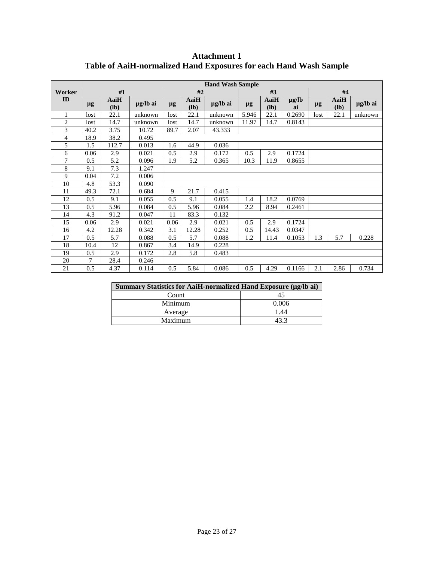|                | <b>Hand Wash Sample</b> |                |          |         |              |          |         |                |                  |         |                |          |
|----------------|-------------------------|----------------|----------|---------|--------------|----------|---------|----------------|------------------|---------|----------------|----------|
| Worker         |                         | #1             |          | #2      |              |          | #3      |                |                  | #4      |                |          |
| ID             | $\mu$ g                 | AaiH<br>$(lb)$ | µg/lb ai | $\mu$ g | AaiH<br>(lb) | µg/lb ai | $\mu$ g | AaiH<br>$(lb)$ | $\mu$ g/lb<br>ai | $\mu$ g | AaiH<br>$(lb)$ | µg/lb ai |
| $\mathbf{1}$   | lost                    | 22.1           | unknown  | lost    | 22.1         | unknown  | 5.946   | 22.1           | 0.2690           | lost    | 22.1           | unknown  |
| $\overline{2}$ | lost                    | 14.7           | unknown  | lost    | 14.7         | unknown  | 11.97   | 14.7           | 0.8143           |         |                |          |
| 3              | 40.2                    | 3.75           | 10.72    | 89.7    | 2.07         | 43.333   |         |                |                  |         |                |          |
| 4              | 18.9                    | 38.2           | 0.495    |         |              |          |         |                |                  |         |                |          |
| 5              | 1.5                     | 112.7          | 0.013    | 1.6     | 44.9         | 0.036    |         |                |                  |         |                |          |
| 6              | 0.06                    | 2.9            | 0.021    | 0.5     | 2.9          | 0.172    | 0.5     | 2.9            | 0.1724           |         |                |          |
| 7              | 0.5                     | 5.2            | 0.096    | 1.9     | 5.2          | 0.365    | 10.3    | 11.9           | 0.8655           |         |                |          |
| 8              | 9.1                     | 7.3            | 1.247    |         |              |          |         |                |                  |         |                |          |
| 9              | 0.04                    | 7.2            | 0.006    |         |              |          |         |                |                  |         |                |          |
| 10             | 4.8                     | 53.3           | 0.090    |         |              |          |         |                |                  |         |                |          |
| 11             | 49.3                    | 72.1           | 0.684    | 9       | 21.7         | 0.415    |         |                |                  |         |                |          |
| 12             | 0.5                     | 9.1            | 0.055    | 0.5     | 9.1          | 0.055    | 1.4     | 18.2           | 0.0769           |         |                |          |
| 13             | 0.5                     | 5.96           | 0.084    | 0.5     | 5.96         | 0.084    | 2.2     | 8.94           | 0.2461           |         |                |          |
| 14             | 4.3                     | 91.2           | 0.047    | 11      | 83.3         | 0.132    |         |                |                  |         |                |          |
| 15             | 0.06                    | 2.9            | 0.021    | 0.06    | 2.9          | 0.021    | 0.5     | 2.9            | 0.1724           |         |                |          |
| 16             | 4.2                     | 12.28          | 0.342    | 3.1     | 12.28        | 0.252    | 0.5     | 14.43          | 0.0347           |         |                |          |
| 17             | 0.5                     | 5.7            | 0.088    | 0.5     | 5.7          | 0.088    | 1.2     | 11.4           | 0.1053           | 1.3     | 5.7            | 0.228    |
| 18             | 10.4                    | 12             | 0.867    | 3.4     | 14.9         | 0.228    |         |                |                  |         |                |          |
| 19             | 0.5                     | 2.9            | 0.172    | 2.8     | 5.8          | 0.483    |         |                |                  |         |                |          |
| 20             | 7                       | 28.4           | 0.246    |         |              |          |         |                |                  |         |                |          |
| 21             | 0.5                     | 4.37           | 0.114    | 0.5     | 5.84         | 0.086    | 0.5     | 4.29           | 0.1166           | 2.1     | 2.86           | 0.734    |

**Attachment 1 Table of AaiH-normalized Hand Exposures for each Hand Wash Sample**

| Summary Statistics for AaiH-normalized Hand Exposure (μg/lb ai) |       |  |  |  |  |  |  |
|-----------------------------------------------------------------|-------|--|--|--|--|--|--|
| Count                                                           |       |  |  |  |  |  |  |
| Minimum                                                         | 0.006 |  |  |  |  |  |  |
| Average                                                         | 1.44  |  |  |  |  |  |  |
| Maximum                                                         |       |  |  |  |  |  |  |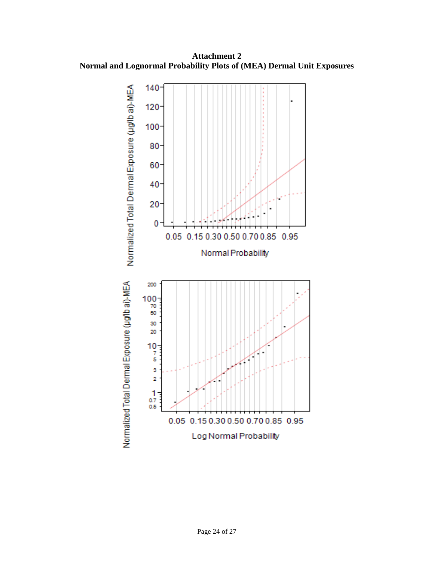**Attachment 2 Normal and Lognormal Probability Plots of (MEA) Dermal Unit Exposures**

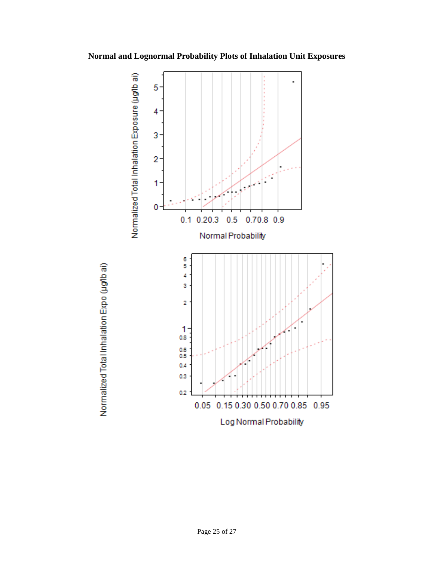**Normal and Lognormal Probability Plots of Inhalation Unit Exposures**



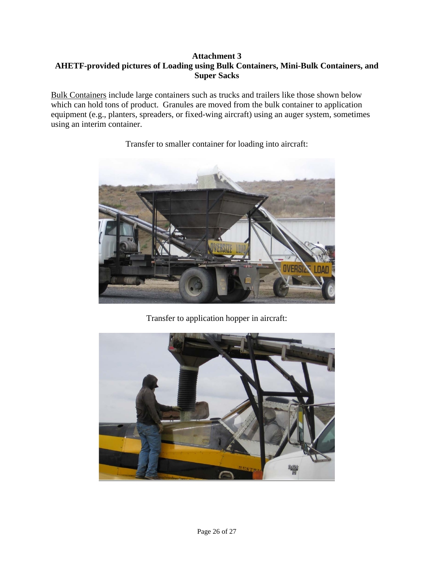### **Attachment 3 AHETF-provided pictures of Loading using Bulk Containers, Mini-Bulk Containers, and Super Sacks**

Bulk Containers include large containers such as trucks and trailers like those shown below which can hold tons of product. Granules are moved from the bulk container to application equipment (e.g., planters, spreaders, or fixed-wing aircraft) using an auger system, sometimes using an interim container.



Transfer to smaller container for loading into aircraft:

Transfer to application hopper in aircraft: